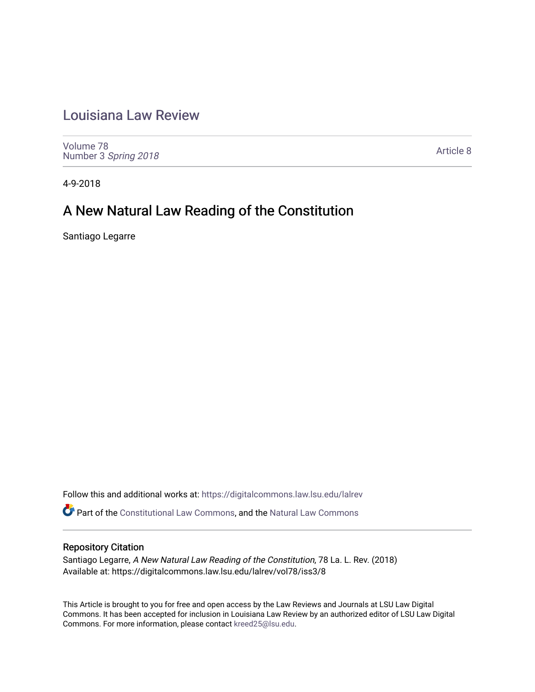## [Louisiana Law Review](https://digitalcommons.law.lsu.edu/lalrev)

[Volume 78](https://digitalcommons.law.lsu.edu/lalrev/vol78) Number 3 [Spring 2018](https://digitalcommons.law.lsu.edu/lalrev/vol78/iss3) 

[Article 8](https://digitalcommons.law.lsu.edu/lalrev/vol78/iss3/8) 

4-9-2018

# A New Natural Law Reading of the Constitution

Santiago Legarre

Follow this and additional works at: [https://digitalcommons.law.lsu.edu/lalrev](https://digitalcommons.law.lsu.edu/lalrev?utm_source=digitalcommons.law.lsu.edu%2Flalrev%2Fvol78%2Fiss3%2F8&utm_medium=PDF&utm_campaign=PDFCoverPages)

Part of the [Constitutional Law Commons,](http://network.bepress.com/hgg/discipline/589?utm_source=digitalcommons.law.lsu.edu%2Flalrev%2Fvol78%2Fiss3%2F8&utm_medium=PDF&utm_campaign=PDFCoverPages) and the [Natural Law Commons](http://network.bepress.com/hgg/discipline/1263?utm_source=digitalcommons.law.lsu.edu%2Flalrev%2Fvol78%2Fiss3%2F8&utm_medium=PDF&utm_campaign=PDFCoverPages) 

### Repository Citation

Santiago Legarre, A New Natural Law Reading of the Constitution, 78 La. L. Rev. (2018) Available at: https://digitalcommons.law.lsu.edu/lalrev/vol78/iss3/8

This Article is brought to you for free and open access by the Law Reviews and Journals at LSU Law Digital Commons. It has been accepted for inclusion in Louisiana Law Review by an authorized editor of LSU Law Digital Commons. For more information, please contact [kreed25@lsu.edu](mailto:kreed25@lsu.edu).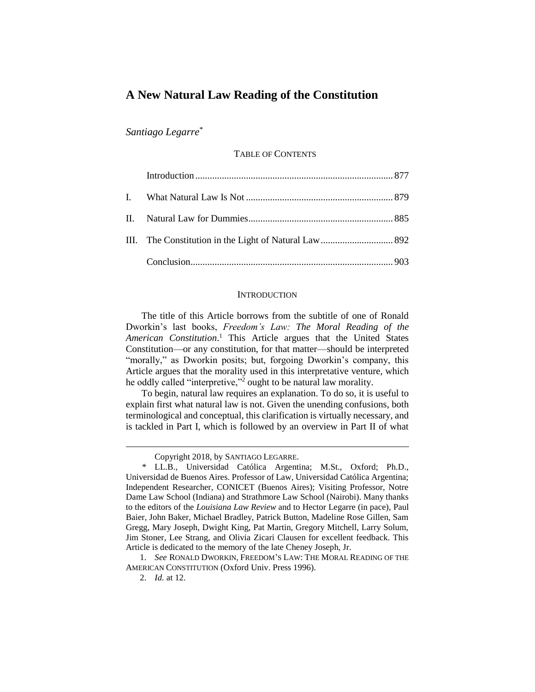### **A New Natural Law Reading of the Constitution**

*Santiago Legarre*\*

TABLE OF CONTENTS

#### **INTRODUCTION**

The title of this Article borrows from the subtitle of one of Ronald Dworkin's last books, *Freedom's Law: The Moral Reading of the American Constitution*. <sup>1</sup> This Article argues that the United States Constitution—or any constitution, for that matter—should be interpreted "morally," as Dworkin posits; but, forgoing Dworkin's company, this Article argues that the morality used in this interpretative venture, which he oddly called "interpretive,"<sup>2</sup> ought to be natural law morality.

To begin, natural law requires an explanation. To do so, it is useful to explain first what natural law is not. Given the unending confusions, both terminological and conceptual, this clarification is virtually necessary, and is tackled in Part I, which is followed by an overview in Part II of what

1. *See* RONALD DWORKIN, FREEDOM'S LAW: THE MORAL READING OF THE AMERICAN CONSTITUTION (Oxford Univ. Press 1996).

Copyright 2018, by SANTIAGO LEGARRE.

<sup>\*</sup> LL.B., Universidad Católica Argentina; M.St., Oxford; Ph.D., Universidad de Buenos Aires. Professor of Law, Universidad Católica Argentina; Independent Researcher, CONICET (Buenos Aires); Visiting Professor, Notre Dame Law School (Indiana) and Strathmore Law School (Nairobi). Many thanks to the editors of the *Louisiana Law Review* and to Hector Legarre (in pace), Paul Baier, John Baker, Michael Bradley, Patrick Button, Madeline Rose Gillen, Sam Gregg, Mary Joseph, Dwight King, Pat Martin, Gregory Mitchell, Larry Solum, Jim Stoner, Lee Strang, and Olivia Zicari Clausen for excellent feedback. This Article is dedicated to the memory of the late Cheney Joseph, Jr.

<sup>2.</sup> *Id.* at 12.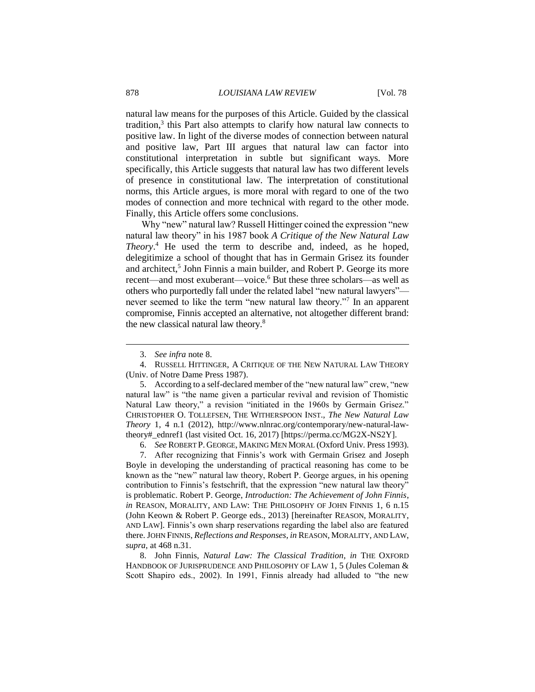natural law means for the purposes of this Article. Guided by the classical tradition,<sup>3</sup> this Part also attempts to clarify how natural law connects to positive law. In light of the diverse modes of connection between natural and positive law, Part III argues that natural law can factor into constitutional interpretation in subtle but significant ways. More specifically, this Article suggests that natural law has two different levels of presence in constitutional law. The interpretation of constitutional norms, this Article argues, is more moral with regard to one of the two modes of connection and more technical with regard to the other mode. Finally, this Article offers some conclusions.

Why "new" natural law? Russell Hittinger coined the expression "new natural law theory" in his 1987 book *A Critique of the New Natural Law Theory*. <sup>4</sup> He used the term to describe and, indeed, as he hoped, delegitimize a school of thought that has in Germain Grisez its founder and architect,<sup>5</sup> John Finnis a main builder, and Robert P. George its more recent—and most exuberant—voice.<sup>6</sup> But these three scholars—as well as others who purportedly fall under the related label "new natural lawyers" never seemed to like the term "new natural law theory."<sup>7</sup> In an apparent compromise, Finnis accepted an alternative, not altogether different brand: the new classical natural law theory.<sup>8</sup>

 $\overline{a}$ 

5. According to a self-declared member of the "new natural law" crew, "new natural law" is "the name given a particular revival and revision of Thomistic Natural Law theory," a revision "initiated in the 1960s by Germain Grisez." CHRISTOPHER O. TOLLEFSEN, THE WITHERSPOON INST., *The New Natural Law Theory* 1, 4 n.1 (2012), http://www.nlnrac.org/contemporary/new-natural-lawtheory#\_ednref1 (last visited Oct. 16, 2017) [https://perma.cc/MG2X-NS2Y].

6. *See* ROBERT P. GEORGE, MAKING MEN MORAL (Oxford Univ. Press 1993).

7. After recognizing that Finnis's work with Germain Grisez and Joseph Boyle in developing the understanding of practical reasoning has come to be known as the "new" natural law theory, Robert P. George argues, in his opening contribution to Finnis's festschrift, that the expression "new natural law theory" is problematic. Robert P. George, *Introduction: The Achievement of John Finnis*, *in* REASON, MORALITY, AND LAW: THE PHILOSOPHY OF JOHN FINNIS 1, 6 n.15 (John Keown & Robert P. George eds., 2013) [hereinafter REASON, MORALITY, AND LAW]. Finnis's own sharp reservations regarding the label also are featured there. JOHN FINNIS, *Reflections and Responses*, *in* REASON, MORALITY, AND LAW, *supra*, at 468 n.31.

8. John Finnis, *Natural Law: The Classical Tradition*, *in* THE OXFORD HANDBOOK OF JURISPRUDENCE AND PHILOSOPHY OF LAW 1, 5 (Jules Coleman & Scott Shapiro eds., 2002). In 1991, Finnis already had alluded to "the new

<sup>3.</sup> *See infra* note 8.

<sup>4.</sup> RUSSELL HITTINGER, A CRITIQUE OF THE NEW NATURAL LAW THEORY (Univ. of Notre Dame Press 1987).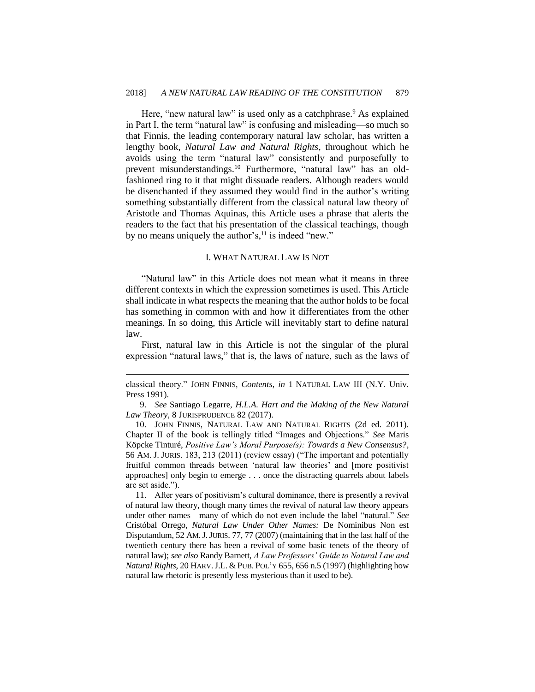Here, "new natural law" is used only as a catchphrase.<sup>9</sup> As explained in Part I, the term "natural law" is confusing and misleading—so much so that Finnis, the leading contemporary natural law scholar, has written a lengthy book, *Natural Law and Natural Rights*, throughout which he avoids using the term "natural law" consistently and purposefully to prevent misunderstandings.<sup>10</sup> Furthermore, "natural law" has an oldfashioned ring to it that might dissuade readers. Although readers would be disenchanted if they assumed they would find in the author's writing something substantially different from the classical natural law theory of Aristotle and Thomas Aquinas, this Article uses a phrase that alerts the readers to the fact that his presentation of the classical teachings, though by no means uniquely the author's, $^{11}$  is indeed "new."

#### I. WHAT NATURAL LAW IS NOT

"Natural law" in this Article does not mean what it means in three different contexts in which the expression sometimes is used. This Article shall indicate in what respects the meaning that the author holds to be focal has something in common with and how it differentiates from the other meanings. In so doing, this Article will inevitably start to define natural law.

First, natural law in this Article is not the singular of the plural expression "natural laws," that is, the laws of nature, such as the laws of

classical theory." JOHN FINNIS, *Contents*, *in* 1 NATURAL LAW III (N.Y. Univ. Press 1991).

<sup>9.</sup> *See* Santiago Legarre, *H.L.A. Hart and the Making of the New Natural Law Theory*, 8 JURISPRUDENCE 82 (2017).

<sup>10.</sup> JOHN FINNIS, NATURAL LAW AND NATURAL RIGHTS (2d ed. 2011). Chapter II of the book is tellingly titled "Images and Objections." *See* Maris Köpcke Tinturé, *Positive Law's Moral Purpose(s): Towards a New Consensus?*, 56 AM. J. JURIS. 183, 213 (2011) (review essay) ("The important and potentially fruitful common threads between 'natural law theories' and [more positivist approaches] only begin to emerge . . . once the distracting quarrels about labels are set aside.").

<sup>11.</sup> After years of positivism's cultural dominance, there is presently a revival of natural law theory, though many times the revival of natural law theory appears under other names—many of which do not even include the label "natural." *See*  Cristóbal Orrego, *Natural Law Under Other Names:* De Nominibus Non est Disputandum, 52 AM.J.JURIS. 77, 77 (2007) (maintaining that in the last half of the twentieth century there has been a revival of some basic tenets of the theory of natural law); *see also* Randy Barnett, *A Law Professors' Guide to Natural Law and Natural Rights*, 20 HARV.J.L. & PUB. POL'Y 655, 656 n.5 (1997) (highlighting how natural law rhetoric is presently less mysterious than it used to be).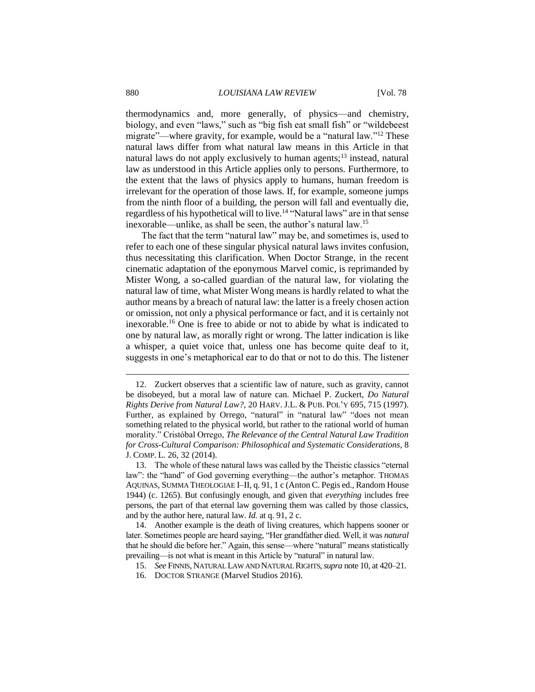thermodynamics and, more generally, of physics—and chemistry, biology, and even "laws," such as "big fish eat small fish" or "wildebeest migrate"—where gravity, for example, would be a "natural law."<sup>12</sup> These natural laws differ from what natural law means in this Article in that natural laws do not apply exclusively to human agents; $^{13}$  instead, natural law as understood in this Article applies only to persons. Furthermore, to the extent that the laws of physics apply to humans, human freedom is irrelevant for the operation of those laws. If, for example, someone jumps from the ninth floor of a building, the person will fall and eventually die, regardless of his hypothetical will to live.<sup>14</sup> "Natural laws" are in that sense inexorable—unlike, as shall be seen, the author's natural law.<sup>15</sup>

The fact that the term "natural law" may be, and sometimes is, used to refer to each one of these singular physical natural laws invites confusion, thus necessitating this clarification. When Doctor Strange, in the recent cinematic adaptation of the eponymous Marvel comic, is reprimanded by Mister Wong, a so-called guardian of the natural law, for violating the natural law of time, what Mister Wong means is hardly related to what the author means by a breach of natural law: the latter is a freely chosen action or omission, not only a physical performance or fact, and it is certainly not inexorable.<sup>16</sup> One is free to abide or not to abide by what is indicated to one by natural law, as morally right or wrong. The latter indication is like a whisper, a quiet voice that, unless one has become quite deaf to it, suggests in one's metaphorical ear to do that or not to do this. The listener

<sup>12.</sup> Zuckert observes that a scientific law of nature, such as gravity, cannot be disobeyed, but a moral law of nature can. Michael P. Zuckert, *Do Natural Rights Derive from Natural Law?*, 20 HARV. J.L. & PUB. POL'Y 695, 715 (1997). Further, as explained by Orrego, "natural" in "natural law" "does not mean something related to the physical world, but rather to the rational world of human morality." Cristóbal Orrego, *The Relevance of the Central Natural Law Tradition for Cross-Cultural Comparison: Philosophical and Systematic Considerations*, 8 J. COMP. L. 26, 32 (2014).

<sup>13.</sup> The whole of these natural laws was called by the Theistic classics "eternal law": the "hand" of God governing everything—the author's metaphor. THOMAS AQUINAS, SUMMA THEOLOGIAE I–II, q. 91, 1 c (Anton C. Pegis ed., Random House 1944) (c. 1265). But confusingly enough, and given that *everything* includes free persons, the part of that eternal law governing them was called by those classics, and by the author here, natural law. *Id.* at q. 91, 2 c.

<sup>14.</sup> Another example is the death of living creatures, which happens sooner or later. Sometimes people are heard saying, "Her grandfather died. Well, it was *natural*  that he should die before her." Again, this sense—where "natural" means statistically prevailing—is not what is meant in this Article by "natural" in natural law.

<sup>15.</sup> *See* FINNIS, NATURAL LAW AND NATURAL RIGHTS,*supra* note 10, at 420–21.

<sup>16.</sup> DOCTOR STRANGE (Marvel Studios 2016).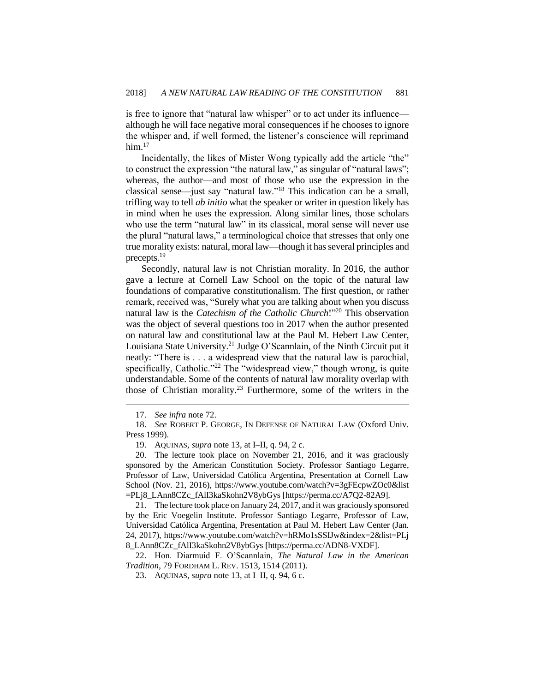is free to ignore that "natural law whisper" or to act under its influence although he will face negative moral consequences if he chooses to ignore the whisper and, if well formed, the listener's conscience will reprimand him. $17$ 

Incidentally, the likes of Mister Wong typically add the article "the" to construct the expression "the natural law," as singular of "natural laws"; whereas, the author—and most of those who use the expression in the classical sense—just say "natural law."<sup>18</sup> This indication can be a small, trifling way to tell *ab initio* what the speaker or writer in question likely has in mind when he uses the expression. Along similar lines, those scholars who use the term "natural law" in its classical, moral sense will never use the plural "natural laws," a terminological choice that stresses that only one true morality exists: natural, moral law—though it has several principles and precepts.<sup>19</sup>

Secondly, natural law is not Christian morality. In 2016, the author gave a lecture at Cornell Law School on the topic of the natural law foundations of comparative constitutionalism. The first question, or rather remark, received was, "Surely what you are talking about when you discuss natural law is the *Catechism of the Catholic Church*!"<sup>20</sup> This observation was the object of several questions too in 2017 when the author presented on natural law and constitutional law at the Paul M. Hebert Law Center, Louisiana State University.<sup>21</sup> Judge O'Scannlain, of the Ninth Circuit put it neatly: "There is . . . a widespread view that the natural law is parochial, specifically, Catholic."<sup>22</sup> The "widespread view," though wrong, is quite understandable. Some of the contents of natural law morality overlap with those of Christian morality.<sup>23</sup> Furthermore, some of the writers in the

 $\overline{a}$ 

21. The lecture took place on January 24, 2017, and it was graciously sponsored by the Eric Voegelin Institute. Professor Santiago Legarre, Professor of Law, Universidad Católica Argentina, Presentation at Paul M. Hebert Law Center (Jan. 24, 2017), https://www.youtube.com/watch?v=hRMo1sSSIJw&index=2&list=PLj 8\_LAnn8CZc\_fAlI3kaSkohn2V8ybGys [https://perma.cc/ADN8-VXDF].

22. Hon. Diarmuid F. O'Scannlain, *The Natural Law in the American Tradition*, 79 FORDHAM L. REV. 1513, 1514 (2011).

23. AQUINAS, *supra* note 13, at I–II, q. 94, 6 c.

<sup>17.</sup> *See infra* note 72.

<sup>18.</sup> *See* ROBERT P. GEORGE, IN DEFENSE OF NATURAL LAW (Oxford Univ. Press 1999).

<sup>19.</sup> AQUINAS, *supra* note 13, at I–II, q. 94, 2 c.

<sup>20.</sup> The lecture took place on November 21, 2016, and it was graciously sponsored by the American Constitution Society. Professor Santiago Legarre, Professor of Law, Universidad Católica Argentina, Presentation at Cornell Law School (Nov. 21, 2016), https://www.youtube.com/watch?v=3gFEcpwZOc0&list =PLj8\_LAnn8CZc\_fAlI3kaSkohn2V8ybGys [https://perma.cc/A7Q2-82A9].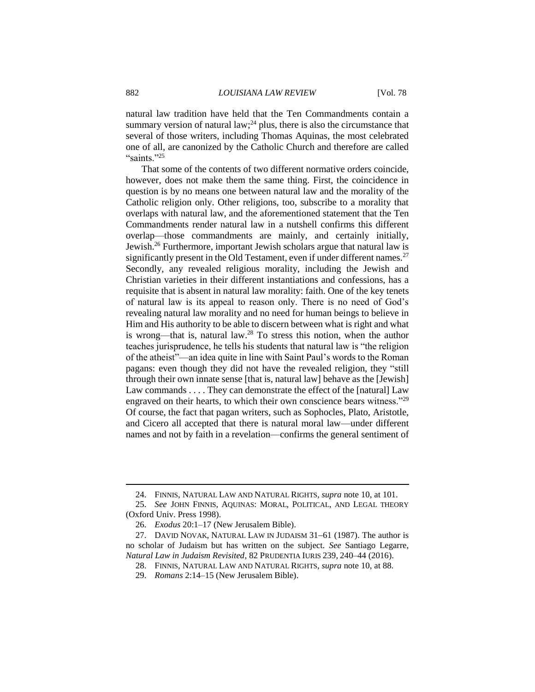natural law tradition have held that the Ten Commandments contain a summary version of natural law; $^{24}$  plus, there is also the circumstance that several of those writers, including Thomas Aquinas, the most celebrated one of all, are canonized by the Catholic Church and therefore are called "saints."<sup>25</sup>

That some of the contents of two different normative orders coincide, however, does not make them the same thing. First, the coincidence in question is by no means one between natural law and the morality of the Catholic religion only. Other religions, too, subscribe to a morality that overlaps with natural law, and the aforementioned statement that the Ten Commandments render natural law in a nutshell confirms this different overlap—those commandments are mainly, and certainly initially, Jewish.<sup>26</sup> Furthermore, important Jewish scholars argue that natural law is significantly present in the Old Testament, even if under different names.<sup>27</sup> Secondly, any revealed religious morality, including the Jewish and Christian varieties in their different instantiations and confessions, has a requisite that is absent in natural law morality: faith. One of the key tenets of natural law is its appeal to reason only. There is no need of God's revealing natural law morality and no need for human beings to believe in Him and His authority to be able to discern between what is right and what is wrong—that is, natural law.<sup>28</sup> To stress this notion, when the author teaches jurisprudence, he tells his students that natural law is "the religion of the atheist"—an idea quite in line with Saint Paul's words to the Roman pagans: even though they did not have the revealed religion, they "still through their own innate sense [that is, natural law] behave as the [Jewish] [Law](http://www.catholic.org/encyclopedia/view.php?id=6916) commands . . . . They can demonstrate the effect of the [natural] [Law](http://www.catholic.org/encyclopedia/view.php?id=6916) engraved on their hearts, to which their own [conscience](http://www.catholic.org/encyclopedia/view.php?id=3278) bears witness."<sup>29</sup> Of course, the fact that pagan writers, such as Sophocles, Plato, Aristotle, and Cicero all accepted that there is natural moral law—under different names and not by faith in a revelation—confirms the general sentiment of

<sup>24.</sup> FINNIS, NATURAL LAW AND NATURAL RIGHTS, *supra* note 10, at 101.

<sup>25.</sup> *See* JOHN FINNIS, AQUINAS: MORAL, POLITICAL, AND LEGAL THEORY (Oxford Univ. Press 1998).

<sup>26.</sup> *Exodus* 20:1–17 (New Jerusalem Bible).

<sup>27.</sup> DAVID NOVAK, NATURAL LAW IN JUDAISM 31–61 (1987). The author is no scholar of Judaism but has written on the subject. *See* Santiago Legarre, *Natural Law in Judaism Revisited*, 82 PRUDENTIA IURIS 239, 240–44 (2016).

<sup>28.</sup> FINNIS, NATURAL LAW AND NATURAL RIGHTS, *supra* note 10, at 88.

<sup>29.</sup> *Romans* 2:14–15 (New Jerusalem Bible).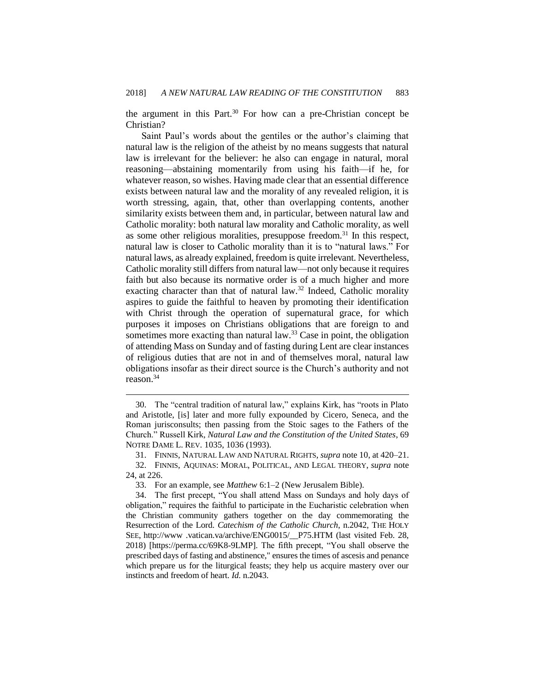the argument in this Part.<sup>30</sup> For how can a pre-Christian concept be Christian?

Saint Paul's words about the gentiles or the author's claiming that natural law is the religion of the atheist by no means suggests that natural law is irrelevant for the believer: he also can engage in natural, moral reasoning—abstaining momentarily from using his faith—if he, for whatever reason, so wishes. Having made clear that an essential difference exists between natural law and the morality of any revealed religion, it is worth stressing, again, that, other than overlapping contents, another similarity exists between them and, in particular, between natural law and Catholic morality: both natural law morality and Catholic morality, as well as some other religious moralities, presuppose freedom.<sup>31</sup> In this respect, natural law is closer to Catholic morality than it is to "natural laws." For natural laws, as already explained, freedom is quite irrelevant. Nevertheless, Catholic morality still differs from natural law—not only because it requires faith but also because its normative order is of a much higher and more exacting character than that of natural law.<sup>32</sup> Indeed, Catholic morality aspires to guide the faithful to heaven by promoting their identification with Christ through the operation of supernatural grace, for which purposes it imposes on Christians obligations that are foreign to and sometimes more exacting than natural law.<sup>33</sup> Case in point, the obligation of attending Mass on Sunday and of fasting during Lent are clear instances of religious duties that are not in and of themselves moral, natural law obligations insofar as their direct source is the Church's authority and not reason.<sup>34</sup>

<sup>30.</sup> The "central tradition of natural law," explains Kirk, has "roots in Plato and Aristotle, [is] later and more fully expounded by Cicero, Seneca, and the Roman jurisconsults; then passing from the Stoic sages to the Fathers of the Church." Russell Kirk, *Natural Law and the Constitution of the United States*, 69 NOTRE DAME L. REV. 1035, 1036 (1993).

<sup>31.</sup> FINNIS, NATURAL LAW AND NATURAL RIGHTS, *supra* note 10, at 420–21.

<sup>32.</sup> FINNIS, AQUINAS: MORAL, POLITICAL, AND LEGAL THEORY, *supra* note 24, at 226.

<sup>33.</sup> For an example, see *Matthew* 6:1–2 (New Jerusalem Bible).

<sup>34.</sup> The first precept, "You shall attend Mass on Sundays and holy days of obligation," requires the faithful to participate in the Eucharistic celebration when the Christian community gathers together on the day commemorating the Resurrection of the Lord. *Catechism of the Catholic Church*, n.2042, THE HOLY SEE, http://www .vatican.va/archive/ENG0015/\_\_P75.HTM (last visited Feb. 28, 2018) [https://perma.cc/69K8-9LMP]. The fifth precept, "You shall observe the prescribed days of fasting and abstinence," ensures the times of ascesis and penance which prepare us for the liturgical feasts; they help us acquire mastery over our instincts and freedom of heart. *Id.* n.2043.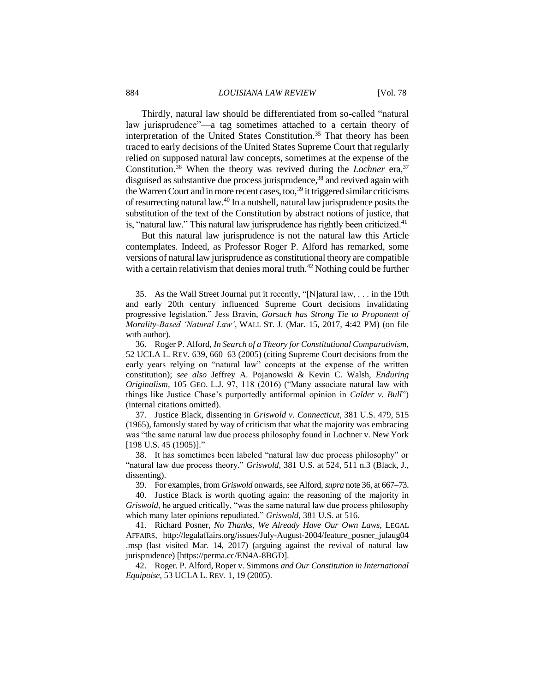Thirdly, natural law should be differentiated from so-called "natural law jurisprudence"—a tag sometimes attached to a certain theory of interpretation of the United States Constitution.<sup>35</sup> That theory has been traced to early decisions of the United States Supreme Court that regularly relied on supposed natural law concepts, sometimes at the expense of the Constitution.<sup>36</sup> When the theory was revived during the *Lochner* era,<sup>37</sup> disguised as substantive due process jurisprudence, <sup>38</sup> and revived again with the Warren Court and in more recent cases, too,  $39$  it triggered similar criticisms of resurrecting natural law.<sup>40</sup> In a nutshell, natural law jurisprudence posits the substitution of the text of the Constitution by abstract notions of justice, that is, "natural law." This natural law jurisprudence has rightly been criticized. $41$ 

But this natural law jurisprudence is not the natural law this Article contemplates. Indeed, as Professor Roger P. Alford has remarked, some versions of natural law jurisprudence as constitutional theory are compatible with a certain relativism that denies moral truth.<sup>42</sup> Nothing could be further

37. Justice Black, dissenting in *Griswold v. Connecticut*, 381 U.S. 479, 515 (1965), famously stated by way of criticism that what the majority was embracing was "the same natural law due process philosophy found in Lochner v. New York [198 U.S. 45 (1905)]."

38. It has sometimes been labeled "natural law due process philosophy" or "natural law due process theory." *Griswold*, 381 U.S. at 524, 511 n.3 (Black, J., dissenting).

39. For examples, from *Griswold* onwards, see Alford, *supra* note 36, at 667–73.

40. Justice Black is worth quoting again: the reasoning of the majority in *Griswold*, he argued critically, "was the same natural law due process philosophy which many later opinions repudiated." *Griswold*, 381 U.S. at 516.

41. Richard Posner, *No Thanks, We Already Have Our Own Laws*, LEGAL AFFAIRS, http://legalaffairs.org/issues/July-August-2004/feature\_posner\_julaug04 .msp (last visited Mar. 14, 2017) (arguing against the revival of natural law jurisprudence) [https://perma.cc/EN4A-8BGD].

42. Roger. P. Alford, Roper v. Simmons *and Our Constitution in International Equipoise*, 53 UCLA L. REV. 1, 19 (2005).

<sup>35.</sup> As the Wall Street Journal put it recently, "[N]atural law, . . . in the 19th and early 20th century influenced Supreme Court decisions invalidating progressive legislation." Jess Bravin, *Gorsuch has Strong Tie to Proponent of Morality-Based 'Natural Law'*, WALL ST. J. (Mar. 15, 2017, 4:42 PM) (on file with author).

<sup>36.</sup> Roger P. Alford, *In Search of a Theory for Constitutional Comparativism*, 52 UCLA L. REV. 639, 660–63 (2005) (citing Supreme Court decisions from the early years relying on "natural law" concepts at the expense of the written constitution); *see also* Jeffrey A. Pojanowski & Kevin C. Walsh, *Enduring Originalism*, 105 GEO. L.J. 97, 118 (2016) ("Many associate natural law with things like Justice Chase's purportedly antiformal opinion in *Calder v. Bull*") (internal citations omitted).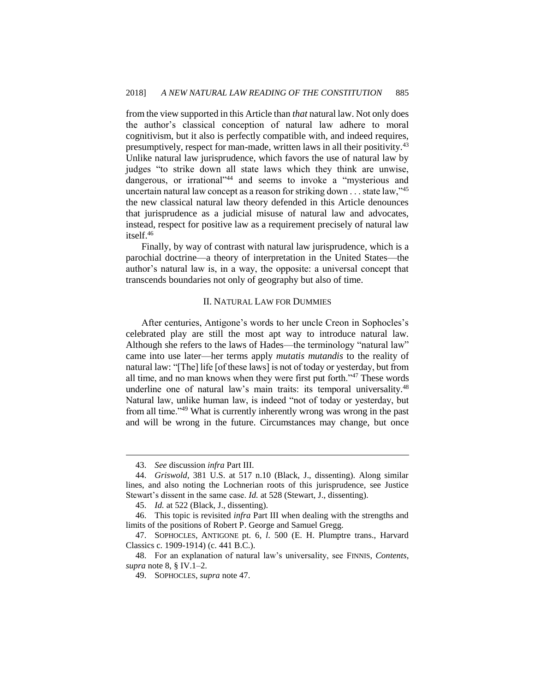from the view supported in this Article than *that* natural law. Not only does the author's classical conception of natural law adhere to moral cognitivism, but it also is perfectly compatible with, and indeed requires, presumptively, respect for man-made, written laws in all their positivity.<sup>43</sup> Unlike natural law jurisprudence, which favors the use of natural law by judges "to strike down all state laws which they think are unwise, dangerous, or irrational"<sup>44</sup> and seems to invoke a "mysterious and uncertain natural law concept as a reason for striking down  $\dots$  state law,"<sup>45</sup> the new classical natural law theory defended in this Article denounces that jurisprudence as a judicial misuse of natural law and advocates, instead, respect for positive law as a requirement precisely of natural law itself.<sup>46</sup>

Finally, by way of contrast with natural law jurisprudence, which is a parochial doctrine—a theory of interpretation in the United States—the author's natural law is, in a way, the opposite: a universal concept that transcends boundaries not only of geography but also of time.

#### II. NATURAL LAW FOR DUMMIES

After centuries, Antigone's words to her uncle Creon in Sophocles's celebrated play are still the most apt way to introduce natural law. Although she refers to the laws of Hades—the terminology "natural law" came into use later—her terms apply *mutatis mutandis* to the reality of natural law: "[The] life [of these laws] is not of today or yesterday, but from all time, and no man knows when they were first put forth."<sup>47</sup> These words underline one of natural law's main traits: its temporal universality.<sup>48</sup> Natural law, unlike human law, is indeed "not of today or yesterday, but from all time."<sup>49</sup> What is currently inherently wrong was wrong in the past and will be wrong in the future. Circumstances may change, but once

<sup>43.</sup> *See* discussion *infra* Part III.

<sup>44.</sup> *Griswold*, 381 U.S. at 517 n.10 (Black, J., dissenting). Along similar lines, and also noting the Lochnerian roots of this jurisprudence, see Justice Stewart's dissent in the same case. *Id.* at 528 (Stewart, J., dissenting).

<sup>45.</sup> *Id.* at 522 (Black, J., dissenting).

<sup>46.</sup> This topic is revisited *infra* Part III when dealing with the strengths and limits of the positions of Robert P. George and Samuel Gregg.

<sup>47.</sup> SOPHOCLES, ANTIGONE pt. 6, *l*. 500 (E. H. Plumptre trans., Harvard Classics c. 1909-1914) (c. 441 B.C.).

<sup>48.</sup> For an explanation of natural law's universality, see FINNIS, *Contents*, *supra* note 8, § IV.1–2.

<sup>49.</sup> SOPHOCLES, *supra* note 47.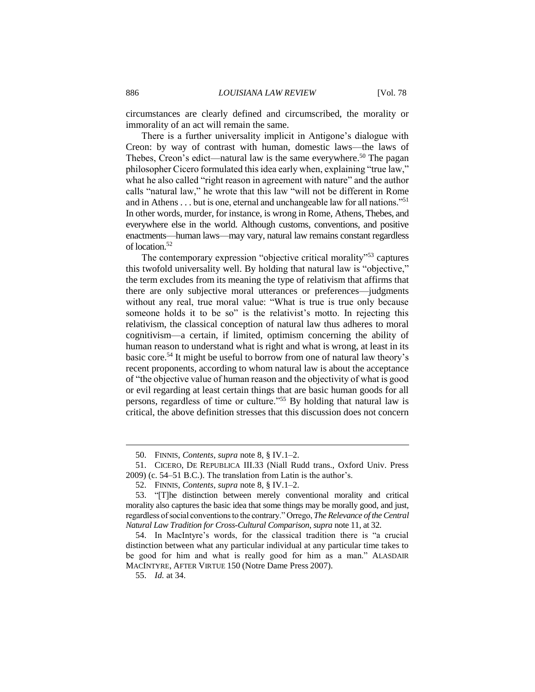circumstances are clearly defined and circumscribed, the morality or immorality of an act will remain the same.

There is a further universality implicit in Antigone's dialogue with Creon: by way of contrast with human, domestic laws—the laws of Thebes, Creon's edict—natural law is the same everywhere.<sup>50</sup> The pagan philosopher Cicero formulated this idea early when, explaining "true law," what he also called "right reason in agreement with nature" and the author calls "natural law," he wrote that this law "will not be different in Rome and in Athens . . . but is one, eternal and unchangeable law for all nations."<sup>51</sup> In other words, murder, for instance, is wrong in Rome, Athens, Thebes, and everywhere else in the world. Although customs, conventions, and positive enactments—human laws—may vary, natural law remains constant regardless of location.<sup>52</sup>

The contemporary expression "objective critical morality"<sup>53</sup> captures this twofold universality well. By holding that natural law is "objective," the term excludes from its meaning the type of relativism that affirms that there are only subjective moral utterances or preferences—judgments without any real, true moral value: "What is true is true only because someone holds it to be so" is the relativist's motto. In rejecting this relativism, the classical conception of natural law thus adheres to moral cognitivism—a certain, if limited, optimism concerning the ability of human reason to understand what is right and what is wrong, at least in its basic core.<sup>54</sup> It might be useful to borrow from one of natural law theory's recent proponents, according to whom natural law is about the acceptance of "the objective value of human reason and the objectivity of what is good or evil regarding at least certain things that are basic human goods for all persons, regardless of time or culture."<sup>55</sup> By holding that natural law is critical, the above definition stresses that this discussion does not concern

<sup>50.</sup> FINNIS, *Contents*, *supra* note 8, § IV.1–2.

<sup>51.</sup> CICERO, DE REPUBLICA III.33 (Niall Rudd trans., Oxford Univ. Press 2009) (c. 54–51 B.C.). The translation from Latin is the author's.

<sup>52.</sup> FINNIS, *Contents*, *supra* note 8, § IV.1–2.

<sup>53.</sup> "[T]he distinction between merely conventional morality and critical morality also captures the basic idea that some things may be morally good, and just, regardless of social conventions to the contrary." Orrego, *The Relevance of the Central Natural Law Tradition for Cross-Cultural Comparison*, *supra* note 11, at 32.

<sup>54.</sup> In MacIntyre's words, for the classical tradition there is "a crucial distinction between what any particular individual at any particular time takes to be good for him and what is really good for him as a man." ALASDAIR MACINTYRE, AFTER VIRTUE 150 (Notre Dame Press 2007).

<sup>55.</sup> *Id.* at 34.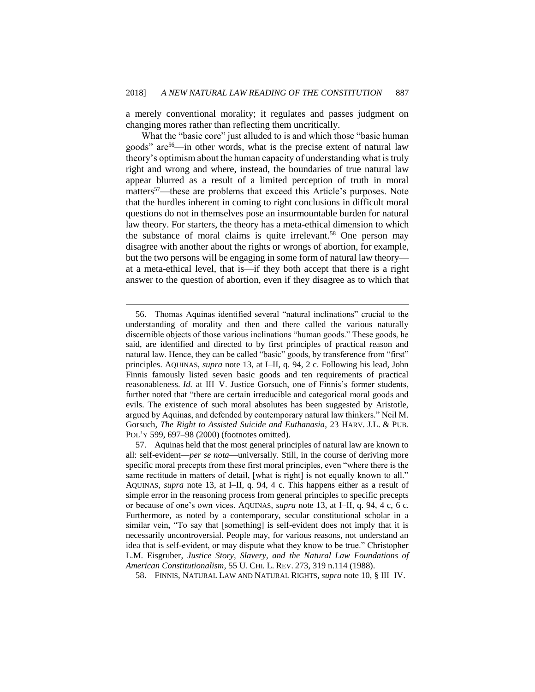a merely conventional morality; it regulates and passes judgment on changing mores rather than reflecting them uncritically.

What the "basic core" just alluded to is and which those "basic human" goods" are<sup>56</sup>—in other words, what is the precise extent of natural law theory's optimism about the human capacity of understanding what is truly right and wrong and where, instead, the boundaries of true natural law appear blurred as a result of a limited perception of truth in moral matters<sup>57</sup>—these are problems that exceed this Article's purposes. Note that the hurdles inherent in coming to right conclusions in difficult moral questions do not in themselves pose an insurmountable burden for natural law theory. For starters, the theory has a meta-ethical dimension to which the substance of moral claims is quite irrelevant.<sup>58</sup> One person may disagree with another about the rights or wrongs of abortion, for example, but the two persons will be engaging in some form of natural law theory at a meta-ethical level, that is—if they both accept that there is a right answer to the question of abortion, even if they disagree as to which that

<sup>56.</sup> Thomas Aquinas identified several "natural inclinations" crucial to the understanding of morality and then and there called the various naturally discernible objects of those various inclinations "human goods." These goods, he said, are identified and directed to by first principles of practical reason and natural law. Hence, they can be called "basic" goods, by transference from "first" principles. AQUINAS, *supra* note 13, at I–II, q. 94, 2 c. Following his lead, John Finnis famously listed seven basic goods and ten requirements of practical reasonableness. *Id.* at III–V. Justice Gorsuch, one of Finnis's former students, further noted that "there are certain irreducible and categorical moral goods and evils. The existence of such moral absolutes has been suggested by Aristotle, argued by Aquinas, and defended by contemporary natural law thinkers." Neil M. Gorsuch, *The Right to Assisted Suicide and Euthanasia*, 23 HARV. J.L. & PUB. POL'Y 599, 697–98 (2000) (footnotes omitted).

<sup>57.</sup> Aquinas held that the most general principles of natural law are known to all: self-evident—*per se nota*—universally. Still, in the course of deriving more specific moral precepts from these first moral principles, even "where there is the same rectitude in matters of detail, [what is right] is not equally known to all." AQUINAS, *supra* note 13, at I–II, q. 94, 4 c. This happens either as a result of simple error in the reasoning process from general principles to specific precepts or because of one's own vices. AQUINAS, *supra* note 13, at I–II, q. 94, 4 c, 6 c. Furthermore, as noted by a contemporary, secular constitutional scholar in a similar vein, "To say that [something] is self-evident does not imply that it is necessarily uncontroversial. People may, for various reasons, not understand an idea that is self-evident, or may dispute what they know to be true." Christopher L.M. Eisgruber, *Justice Story, Slavery, and the Natural Law Foundations of American Constitutionalism*, 55 U. CHI. L. REV. 273, 319 n.114 (1988).

<sup>58.</sup> FINNIS, NATURAL LAW AND NATURAL RIGHTS, *supra* note 10, § III–IV.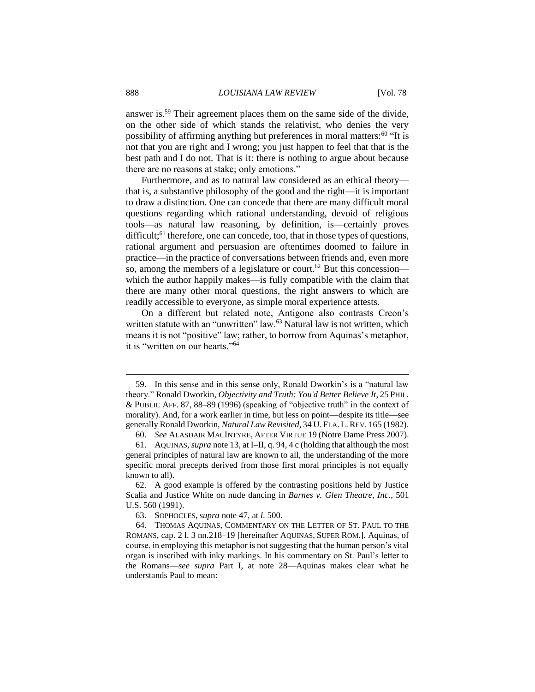answer is.<sup>59</sup> Their agreement places them on the same side of the divide, on the other side of which stands the relativist, who denies the very possibility of affirming anything but preferences in moral matters: $60$  "It is not that you are right and I wrong; you just happen to feel that that is the best path and I do not. That is it: there is nothing to argue about because there are no reasons at stake; only emotions."

Furthermore, and as to natural law considered as an ethical theory that is, a substantive philosophy of the good and the right—it is important to draw a distinction. One can concede that there are many difficult moral questions regarding which rational understanding, devoid of religious tools—as natural law reasoning, by definition, is—certainly proves difficult; $^{61}$  therefore, one can concede, too, that in those types of questions, rational argument and persuasion are oftentimes doomed to failure in practice—in the practice of conversations between friends and, even more so, among the members of a legislature or court.<sup>62</sup> But this concession which the author happily makes—is fully compatible with the claim that there are many other moral questions, the right answers to which are readily accessible to everyone, as simple moral experience attests.

On a different but related note, Antigone also contrasts Creon's written statute with an "unwritten" law.<sup>63</sup> Natural law is not written, which means it is not "positive" law; rather, to borrow from Aquinas's metaphor, it is "written on our hearts."<sup>64</sup>

<sup>59.</sup> In this sense and in this sense only, Ronald Dworkin's is a "natural law theory." Ronald Dworkin, *Objectivity and Truth: You'd Better Believe It*, 25 PHIL. & PUBLIC AFF. 87, 88–89 (1996) (speaking of "objective truth" in the context of morality). And, for a work earlier in time, but less on point—despite its title—see generally Ronald Dworkin, *Natural Law Revisited*, 34 U. FLA. L.REV. 165 (1982).

<sup>60.</sup> *See* ALASDAIR MACINTYRE, AFTER VIRTUE 19 (Notre Dame Press 2007).

<sup>61.</sup> AQUINAS, *supra* note 13, at I–II, q. 94, 4 c (holding that although the most general principles of natural law are known to all, the understanding of the more specific moral precepts derived from those first moral principles is not equally known to all).

<sup>62.</sup> A good example is offered by the contrasting positions held by Justice Scalia and Justice White on nude dancing in *Barnes v. Glen Theatre, Inc.*, 501 U.S. 560 (1991).

<sup>63.</sup> SOPHOCLES, *supra* note 47, at *l*. 500.

<sup>64.</sup> THOMAS AQUINAS, COMMENTARY ON THE LETTER OF ST. PAUL TO THE ROMANS, cap. 2 l. 3 nn.218–19 [hereinafter AQUINAS, SUPER ROM.]. Aquinas, of course, in employing this metaphor is not suggesting that the human person's vital organ is inscribed with inky markings. In his commentary on St. Paul's letter to the Romans—*see supra* Part I, at note 28—Aquinas makes clear what he understands Paul to mean: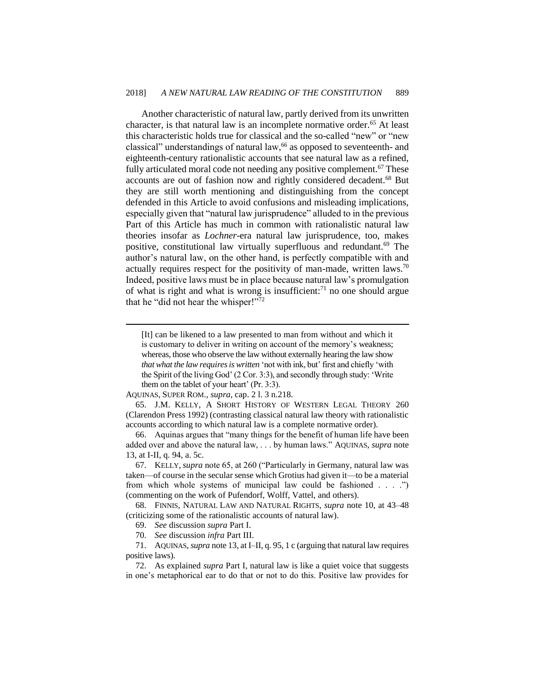Another characteristic of natural law, partly derived from its unwritten character, is that natural law is an incomplete normative order.<sup>65</sup> At least this characteristic holds true for classical and the so-called "new" or "new classical" understandings of natural law,<sup>66</sup> as opposed to seventeenth- and eighteenth-century rationalistic accounts that see natural law as a refined, fully articulated moral code not needing any positive complement.<sup>67</sup> These accounts are out of fashion now and rightly considered decadent.<sup>68</sup> But they are still worth mentioning and distinguishing from the concept defended in this Article to avoid confusions and misleading implications, especially given that "natural law jurisprudence" alluded to in the previous Part of this Article has much in common with rationalistic natural law theories insofar as *Lochner*-era natural law jurisprudence, too, makes positive, constitutional law virtually superfluous and redundant.<sup>69</sup> The author's natural law, on the other hand, is perfectly compatible with and actually requires respect for the positivity of man-made, written laws.<sup>70</sup> Indeed, positive laws must be in place because natural law's promulgation of what is right and what is wrong is insufficient: $71$  no one should argue that he "did not hear the whisper!"<sup>72</sup>

[It] can be likened to a law presented to man from without and which it is customary to deliver in writing on account of the memory's weakness; whereas, those who observe the law without externally hearing the law show *that what the law requires is written* 'not with ink, but' first and chiefly 'with the Spirit of the living God' (2 Cor. 3:3), and secondly through study: 'Write them on the tablet of your heart' (Pr. 3:3).

AQUINAS, SUPER ROM., *supra*, cap. 2 l. 3 n.218.

 $\overline{a}$ 

65. J.M. KELLY, A SHORT HISTORY OF WESTERN LEGAL THEORY 260 (Clarendon Press 1992) (contrasting classical natural law theory with rationalistic accounts according to which natural law is a complete normative order).

66. Aquinas argues that "many things for the benefit of human life have been added over and above the natural law, . . . by human laws." AQUINAS, *supra* note 13, at I-II, q. 94, a. 5c.

67. KELLY, *supra* note 65, at 260 ("Particularly in Germany, natural law was taken—of course in the secular sense which Grotius had given it—to be a material from which whole systems of municipal law could be fashioned . . . .") (commenting on the work of Pufendorf, Wolff, Vattel, and others).

68. FINNIS, NATURAL LAW AND NATURAL RIGHTS, *supra* note 10, at 43–48 (criticizing some of the rationalistic accounts of natural law).

72. As explained *supra* Part I, natural law is like a quiet voice that suggests in one's metaphorical ear to do that or not to do this. Positive law provides for

<sup>69.</sup> *See* discussion *supra* Part I.

<sup>70.</sup> *See* discussion *infra* Part III.

<sup>71.</sup> AQUINAS, *supra* note 13, at I–II, q. 95, 1 c (arguing that natural law requires positive laws).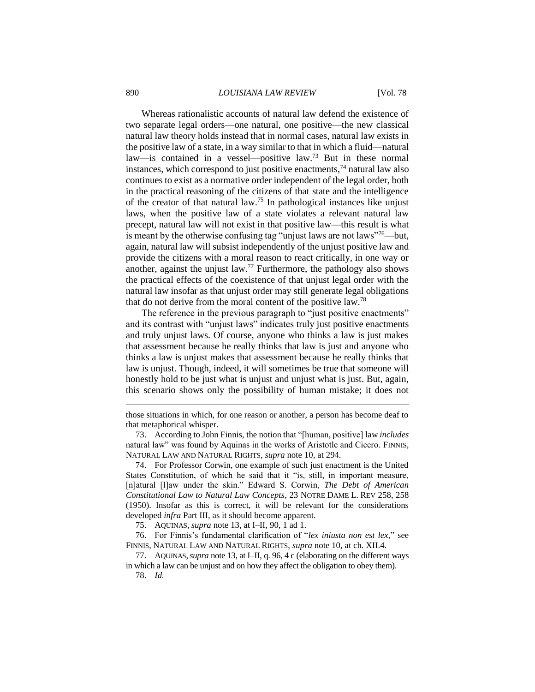Whereas rationalistic accounts of natural law defend the existence of two separate legal orders—one natural, one positive—the new classical natural law theory holds instead that in normal cases, natural law exists in the positive law of a state, in a way similar to that in which a fluid—natural law—is contained in a vessel—positive law.<sup>73</sup> But in these normal instances, which correspond to just positive enactments,  $74$  natural law also continues to exist as a normative order independent of the legal order, both in the practical reasoning of the citizens of that state and the intelligence of the creator of that natural law.<sup>75</sup> In pathological instances like unjust laws, when the positive law of a state violates a relevant natural law precept, natural law will not exist in that positive law—this result is what is meant by the otherwise confusing tag "unjust laws are not laws"<sup>76</sup>—but, again, natural law will subsist independently of the unjust positive law and provide the citizens with a moral reason to react critically, in one way or another, against the unjust law.<sup>77</sup> Furthermore, the pathology also shows the practical effects of the coexistence of that unjust legal order with the natural law insofar as that unjust order may still generate legal obligations that do not derive from the moral content of the positive law.<sup>78</sup>

The reference in the previous paragraph to "just positive enactments" and its contrast with "unjust laws" indicates truly just positive enactments and truly unjust laws. Of course, anyone who thinks a law is just makes that assessment because he really thinks that law is just and anyone who thinks a law is unjust makes that assessment because he really thinks that law is unjust. Though, indeed, it will sometimes be true that someone will honestly hold to be just what is unjust and unjust what is just. But, again, this scenario shows only the possibility of human mistake; it does not

75. AQUINAS, *supra* note 13, at I–II, 90, 1 ad 1.

76. For Finnis's fundamental clarification of "*lex iniusta non est lex*," see FINNIS, NATURAL LAW AND NATURAL RIGHTS, *supra* note 10, at ch. XII.4.

77. AQUINAS,*supra* note 13, at I–II, q. 96, 4 c (elaborating on the different ways in which a law can be unjust and on how they affect the obligation to obey them).

78. *Id.*

those situations in which, for one reason or another, a person has become deaf to that metaphorical whisper.

<sup>73.</sup> According to John Finnis, the notion that "[human, positive] law *includes* natural law" was found by Aquinas in the works of Aristotle and Cicero. FINNIS, NATURAL LAW AND NATURAL RIGHTS, *supra* note 10, at 294.

<sup>74.</sup> For Professor Corwin, one example of such just enactment is the United States Constitution, of which he said that it "is, still, in important measure, [n]atural [l]aw under the skin." Edward S. Corwin, *The Debt of American Constitutional Law to Natural Law Concepts*, 23 NOTRE DAME L. REV 258, 258 (1950). Insofar as this is correct, it will be relevant for the considerations developed *infra* Part III, as it should become apparent.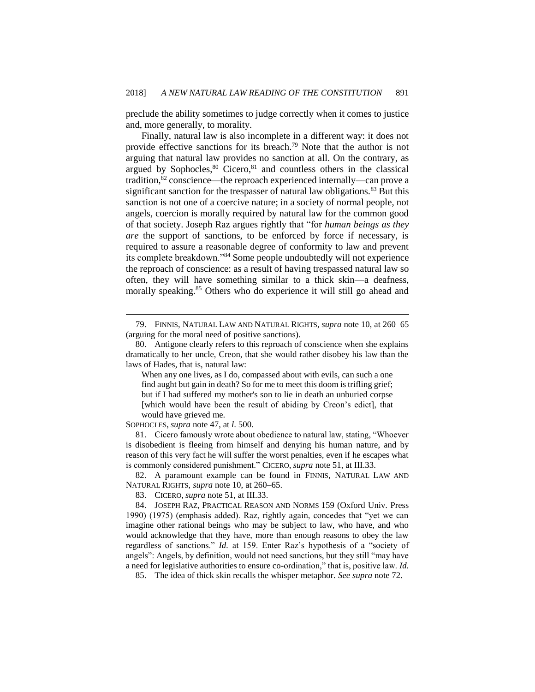preclude the ability sometimes to judge correctly when it comes to justice and, more generally, to morality.

Finally, natural law is also incomplete in a different way: it does not provide effective sanctions for its breach.<sup>79</sup> Note that the author is not arguing that natural law provides no sanction at all. On the contrary, as argued by Sophocles, <sup>80</sup> Cicero, <sup>81</sup> and countless others in the classical tradition,<sup>82</sup> conscience—the reproach experienced internally—can prove a significant sanction for the trespasser of natural law obligations.<sup>83</sup> But this sanction is not one of a coercive nature; in a society of normal people, not angels, coercion is morally required by natural law for the common good of that society. Joseph Raz argues rightly that "for *human beings as they are* the support of sanctions, to be enforced by force if necessary, is required to assure a reasonable degree of conformity to law and prevent its complete breakdown."<sup>84</sup> Some people undoubtedly will not experience the reproach of conscience: as a result of having trespassed natural law so often, they will have something similar to a thick skin—a deafness, morally speaking.<sup>85</sup> Others who do experience it will still go ahead and

When any one lives, as I do, compassed about with evils, can such a one find aught but gain in death? So for me to meet this doom is trifling grief; but if I had suffered my mother's son to lie in death an unburied corpse [which would have been the result of abiding by Creon's edict], that would have grieved me.

SOPHOCLES, *supra* note 47, at *l*. 500.

 $\overline{a}$ 

81. Cicero famously wrote about obedience to natural law, stating, "Whoever is disobedient is fleeing from himself and denying his human nature, and by reason of this very fact he will suffer the worst penalties, even if he escapes what is commonly considered punishment." CICERO, *supra* note 51, at III.33.

82. A paramount example can be found in FINNIS, NATURAL LAW AND NATURAL RIGHTS, *supra* note 10, at 260–65.

83. CICERO, *supra* note 51, at III.33.

84. JOSEPH RAZ, PRACTICAL REASON AND NORMS 159 (Oxford Univ. Press 1990) (1975) (emphasis added). Raz, rightly again, concedes that "yet we can imagine other rational beings who may be subject to law, who have, and who would acknowledge that they have, more than enough reasons to obey the law regardless of sanctions." *Id.* at 159. Enter Raz's hypothesis of a "society of angels": Angels, by definition, would not need sanctions, but they still "may have a need for legislative authorities to ensure co-ordination," that is, positive law. *Id.*

85. The idea of thick skin recalls the whisper metaphor. *See supra* note 72.

<sup>79.</sup> FINNIS, NATURAL LAW AND NATURAL RIGHTS, *supra* note 10, at 260–65 (arguing for the moral need of positive sanctions).

<sup>80.</sup> Antigone clearly refers to this reproach of conscience when she explains dramatically to her uncle, Creon, that she would rather disobey his law than the laws of Hades, that is, natural law: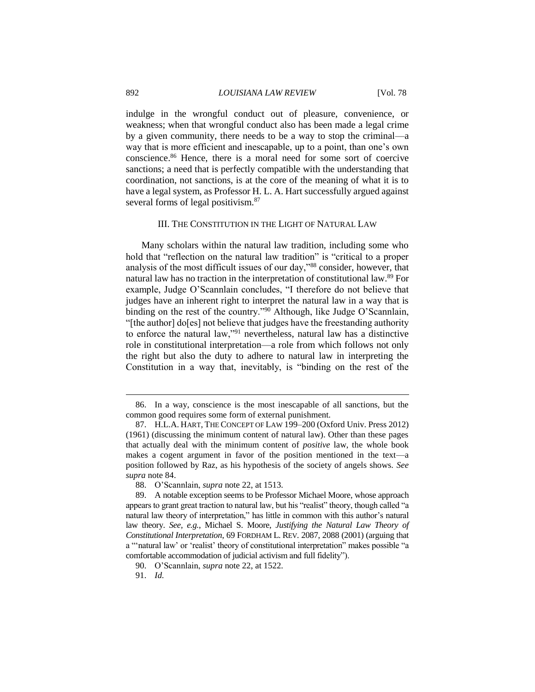indulge in the wrongful conduct out of pleasure, convenience, or weakness; when that wrongful conduct also has been made a legal crime by a given community, there needs to be a way to stop the criminal—a way that is more efficient and inescapable, up to a point, than one's own conscience.<sup>86</sup> Hence, there is a moral need for some sort of coercive sanctions; a need that is perfectly compatible with the understanding that coordination, not sanctions, is at the core of the meaning of what it is to have a legal system, as Professor H. L. A. Hart successfully argued against several forms of legal positivism.<sup>87</sup>

#### III. THE CONSTITUTION IN THE LIGHT OF NATURAL LAW

Many scholars within the natural law tradition, including some who hold that "reflection on the natural law tradition" is "critical to a proper analysis of the most difficult issues of our day,"<sup>88</sup> consider, however, that natural law has no traction in the interpretation of constitutional law.<sup>89</sup> For example, Judge O'Scannlain concludes, "I therefore do not believe that judges have an inherent right to interpret the natural law in a way that is binding on the rest of the country."<sup>90</sup> Although, like Judge O'Scannlain, "[the author] do[es] not believe that judges have the freestanding authority to enforce the natural law,"<sup>91</sup> nevertheless, natural law has a distinctive role in constitutional interpretation—a role from which follows not only the right but also the duty to adhere to natural law in interpreting the Constitution in a way that, inevitably, is "binding on the rest of the

<sup>86.</sup> In a way, conscience is the most inescapable of all sanctions, but the common good requires some form of external punishment.

<sup>87.</sup> H.L.A. HART, THE CONCEPT OF LAW 199–200 (Oxford Univ. Press 2012) (1961) (discussing the minimum content of natural law). Other than these pages that actually deal with the minimum content of *positive* law, the whole book makes a cogent argument in favor of the position mentioned in the text—a position followed by Raz, as his hypothesis of the society of angels shows. *See supra* note 84.

<sup>88.</sup> O'Scannlain, *supra* note 22, at 1513.

<sup>89.</sup> A notable exception seems to be Professor Michael Moore, whose approach appears to grant great traction to natural law, but his "realist" theory, though called "a natural law theory of interpretation," has little in common with this author's natural law theory. *See, e.g.*, Michael S. Moore, *Justifying the Natural Law Theory of Constitutional Interpretation*, 69 FORDHAM L. REV. 2087, 2088 (2001) (arguing that a "'natural law' or 'realist' theory of constitutional interpretation" makes possible "a comfortable accommodation of judicial activism and full fidelity").

<sup>90.</sup> O'Scannlain, *supra* note 22, at 1522.

<sup>91.</sup> *Id.*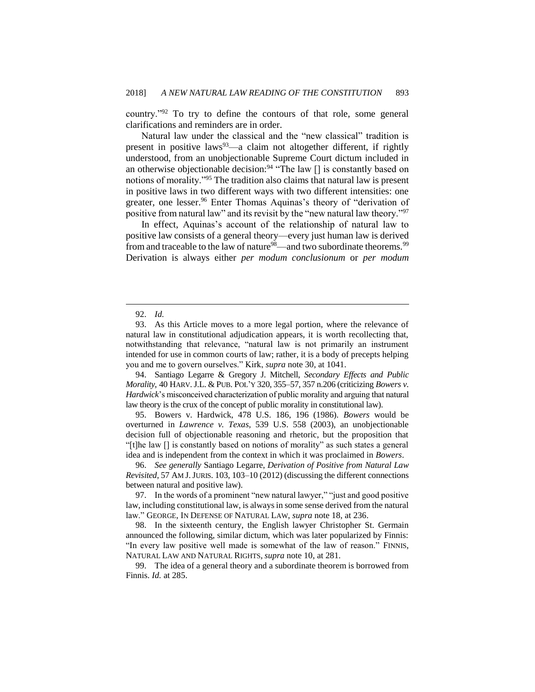country."<sup>92</sup> To try to define the contours of that role, some general clarifications and reminders are in order.

Natural law under the classical and the "new classical" tradition is present in positive laws<sup>93</sup>—a claim not altogether different, if rightly understood, from an unobjectionable Supreme Court dictum included in an otherwise objectionable decision:<sup>94</sup> "The law  $\lceil \rceil$  is constantly based on notions of morality."<sup>95</sup> The tradition also claims that natural law is present in positive laws in two different ways with two different intensities: one greater, one lesser.<sup>96</sup> Enter Thomas Aquinas's theory of "derivation of positive from natural law" and its revisit by the "new natural law theory."<sup>97</sup>

In effect, Aquinas's account of the relationship of natural law to positive law consists of a general theory—every just human law is derived from and traceable to the law of nature<sup>98</sup>—and two subordinate theorems.<sup>99</sup> Derivation is always either *per modum conclusionum* or *per modum* 

 $\overline{a}$ 

94. Santiago Legarre & Gregory J. Mitchell, *Secondary Effects and Public Morality*, 40 HARV.J.L. & PUB. POL'Y 320, 355–57, 357 n.206 (criticizing *Bowers v. Hardwick*'s misconceived characterization of public morality and arguing that natural law theory is the crux of the concept of public morality in constitutional law).

95. Bowers v. Hardwick, 478 U.S. 186, 196 (1986). *Bowers* would be overturned in *Lawrence v. Texas*, 539 U.S. 558 (2003), an unobjectionable decision full of objectionable reasoning and rhetoric, but the proposition that "[t]he law [] is constantly based on notions of morality" as such states a general idea and is independent from the context in which it was proclaimed in *Bowers*.

96. *See generally* Santiago Legarre, *Derivation of Positive from Natural Law Revisited*, 57 AM J.JURIS. 103, 103–10 (2012) (discussing the different connections between natural and positive law).

97. In the words of a prominent "new natural lawyer," "just and good positive law, including constitutional law, is always in some sense derived from the natural law." GEORGE, IN DEFENSE OF NATURAL LAW, *supra* note 18, at 236.

98. In the sixteenth century, the English lawyer Christopher St. Germain announced the following, similar dictum, which was later popularized by Finnis: "In every law positive well made is somewhat of the law of reason." FINNIS, NATURAL LAW AND NATURAL RIGHTS, *supra* note 10, at 281.

99. The idea of a general theory and a subordinate theorem is borrowed from Finnis. *Id.* at 285.

<sup>92.</sup> *Id.*

<sup>93.</sup> As this Article moves to a more legal portion, where the relevance of natural law in constitutional adjudication appears, it is worth recollecting that, notwithstanding that relevance, "natural law is not primarily an instrument intended for use in common courts of law; rather, it is a body of precepts helping you and me to govern ourselves." Kirk, *supra* note 30, at 1041.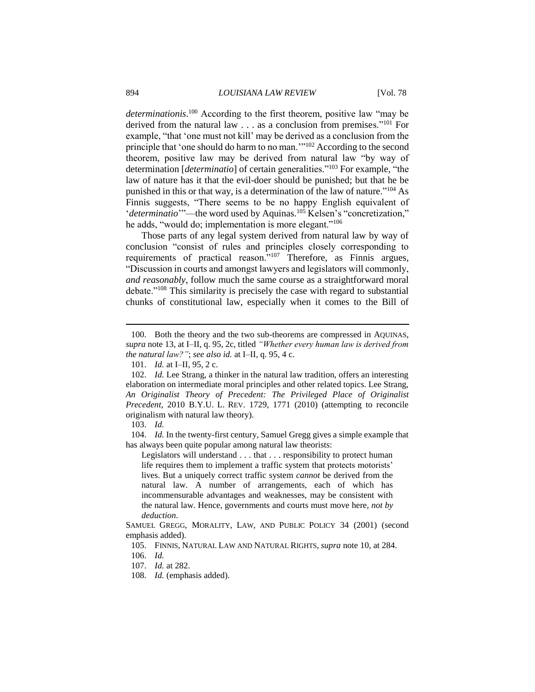*determinationis*. <sup>100</sup> According to the first theorem, positive law "may be derived from the natural law . . . as a conclusion from premises."<sup>101</sup> For example, "that 'one must not kill' may be derived as a conclusion from the principle that 'one should do harm to no man.'"<sup>102</sup> According to the second theorem, positive law may be derived from natural law "by way of determination [*determinatio*] of certain generalities."<sup>103</sup> For example, "the law of nature has it that the evil-doer should be punished; but that he be punished in this or that way, is a determination of the law of nature."<sup>104</sup> As Finnis suggests, "There seems to be no happy English equivalent of '*determinatio*'"—the word used by Aquinas.<sup>105</sup> Kelsen's "concretization," he adds, "would do; implementation is more elegant."<sup>106</sup>

Those parts of any legal system derived from natural law by way of conclusion "consist of rules and principles closely corresponding to requirements of practical reason."<sup>107</sup> Therefore, as Finnis argues, "Discussion in courts and amongst lawyers and legislators will commonly, *and reasonably*, follow much the same course as a straightforward moral debate."<sup>108</sup> This similarity is precisely the case with regard to substantial chunks of constitutional law, especially when it comes to the Bill of

 $\overline{a}$ 

104. *Id.* In the twenty-first century, Samuel Gregg gives a simple example that has always been quite popular among natural law theorists:

Legislators will understand . . . that . . . responsibility to protect human life requires them to implement a traffic system that protects motorists' lives. But a uniquely correct traffic system *cannot* be derived from the natural law. A number of arrangements, each of which has incommensurable advantages and weaknesses, may be consistent with the natural law. Hence, governments and courts must move here, *not by deduction*.

<sup>100.</sup> Both the theory and the two sub-theorems are compressed in AQUINAS, *supra* note 13, at I–II, q. 95, 2c, titled *"Whether every human law is derived from the natural law?"*; *see also id.* at I–II, q. 95, 4 c.

<sup>101.</sup> *Id.* at I–II, 95, 2 c.

<sup>102.</sup> *Id.* Lee Strang, a thinker in the natural law tradition, offers an interesting elaboration on intermediate moral principles and other related topics. Lee Strang, *An Originalist Theory of Precedent: The Privileged Place of Originalist Precedent*, 2010 B.Y.U. L. REV. 1729, 1771 (2010) (attempting to reconcile originalism with natural law theory).

<sup>103.</sup> *Id.*

SAMUEL GREGG, MORALITY, LAW, AND PUBLIC POLICY 34 (2001) (second emphasis added).

<sup>105.</sup> FINNIS, NATURAL LAW AND NATURAL RIGHTS, *supra* note 10, at 284.

<sup>106.</sup> *Id.*

<sup>107.</sup> *Id.* at 282.

<sup>108.</sup> *Id.* (emphasis added).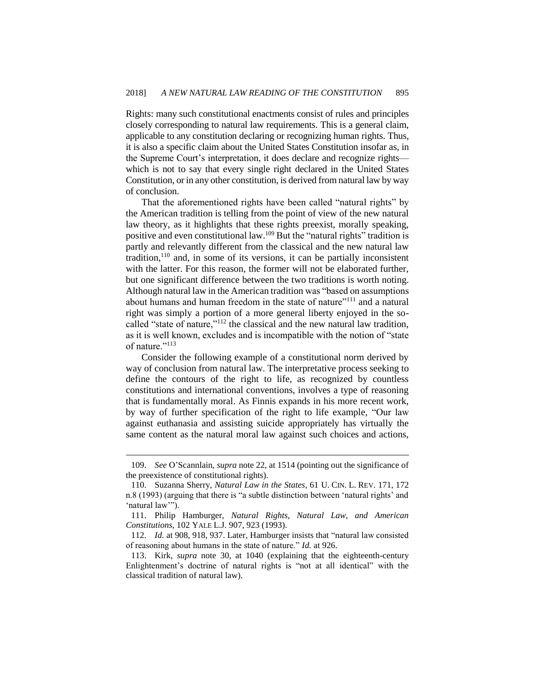Rights: many such constitutional enactments consist of rules and principles closely corresponding to natural law requirements. This is a general claim, applicable to any constitution declaring or recognizing human rights. Thus, it is also a specific claim about the United States Constitution insofar as, in the Supreme Court's interpretation, it does declare and recognize rights which is not to say that every single right declared in the United States Constitution, or in any other constitution, is derived from natural law by way of conclusion.

That the aforementioned rights have been called "natural rights" by the American tradition is telling from the point of view of the new natural law theory, as it highlights that these rights preexist, morally speaking, positive and even constitutional law.<sup>109</sup> But the "natural rights" tradition is partly and relevantly different from the classical and the new natural law tradition, $110$  and, in some of its versions, it can be partially inconsistent with the latter. For this reason, the former will not be elaborated further, but one significant difference between the two traditions is worth noting. Although natural law in the American tradition was "based on assumptions about humans and human freedom in the state of nature"<sup>111</sup> and a natural right was simply a portion of a more general liberty enjoyed in the socalled "state of nature,"<sup>112</sup> the classical and the new natural law tradition, as it is well known, excludes and is incompatible with the notion of "state of nature."<sup>113</sup>

Consider the following example of a constitutional norm derived by way of conclusion from natural law. The interpretative process seeking to define the contours of the right to life, as recognized by countless constitutions and international conventions, involves a type of reasoning that is fundamentally moral. As Finnis expands in his more recent work, by way of further specification of the right to life example, "Our law against euthanasia and assisting suicide appropriately has virtually the same content as the natural moral law against such choices and actions,

<sup>109.</sup> *See* O'Scannlain, *supra* note 22, at 1514 (pointing out the significance of the preexistence of constitutional rights).

<sup>110.</sup> Suzanna Sherry, *Natural Law in the States*, 61 U. CIN. L. REV. 171, 172 n.8 (1993) (arguing that there is "a subtle distinction between 'natural rights' and 'natural law'").

<sup>111.</sup> Philip Hamburger, *Natural Rights, Natural Law, and American Constitutions*, 102 YALE L.J. 907, 923 (1993).

<sup>112.</sup> *Id.* at 908, 918, 937. Later, Hamburger insists that "natural law consisted of reasoning about humans in the state of nature." *Id.* at 926.

<sup>113.</sup> Kirk, *supra* note 30, at 1040 (explaining that the eighteenth-century Enlightenment's doctrine of natural rights is "not at all identical" with the classical tradition of natural law).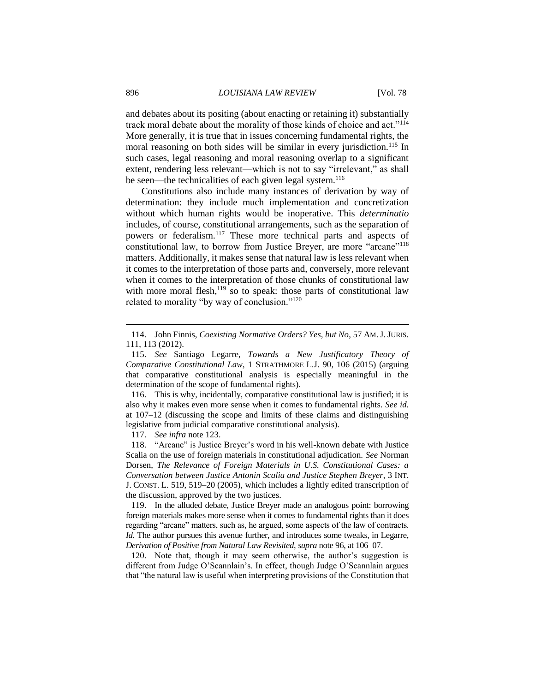and debates about its positing (about enacting or retaining it) substantially track moral debate about the morality of those kinds of choice and act."<sup>114</sup> More generally, it is true that in issues concerning fundamental rights, the moral reasoning on both sides will be similar in every jurisdiction.<sup>115</sup> In such cases, legal reasoning and moral reasoning overlap to a significant extent, rendering less relevant—which is not to say "irrelevant," as shall be seen—the technicalities of each given legal system.<sup>116</sup>

Constitutions also include many instances of derivation by way of determination: they include much implementation and concretization without which human rights would be inoperative. This *determinatio* includes, of course, constitutional arrangements, such as the separation of powers or federalism.<sup>117</sup> These more technical parts and aspects of constitutional law, to borrow from Justice Breyer, are more "arcane"<sup>118</sup> matters. Additionally, it makes sense that natural law is less relevant when it comes to the interpretation of those parts and, conversely, more relevant when it comes to the interpretation of those chunks of constitutional law with more moral flesh, $119$  so to speak: those parts of constitutional law related to morality "by way of conclusion."<sup>120</sup>

117. *See infra* note 123.

118. "Arcane" is Justice Breyer's word in his well-known debate with Justice Scalia on the use of foreign materials in constitutional adjudication. *See* Norman Dorsen, *The Relevance of Foreign Materials in U.S. Constitutional Cases: a Conversation between Justice Antonin Scalia and Justice Stephen Breyer*, 3 INT. J. CONST. L. 519, 519–20 (2005), which includes a lightly edited transcription of the discussion, approved by the two justices.

119. In the alluded debate, Justice Breyer made an analogous point: borrowing foreign materials makes more sense when it comes to fundamental rights than it does regarding "arcane" matters, such as, he argued, some aspects of the law of contracts. *Id.* The author pursues this avenue further, and introduces some tweaks, in Legarre, *Derivation of Positive from Natural Law Revisited*, *supra* note 96, at 106–07.

120. Note that, though it may seem otherwise, the author's suggestion is different from Judge O'Scannlain's. In effect, though Judge O'Scannlain argues that "the natural law is useful when interpreting provisions of the Constitution that

<sup>114.</sup> John Finnis, *Coexisting Normative Orders? Yes, but No*, 57 AM. J.JURIS. 111, 113 (2012).

<sup>115.</sup> *See* Santiago Legarre, *Towards a New Justificatory Theory of Comparative Constitutional Law*, 1 STRATHMORE L.J. 90, 106 (2015) (arguing that comparative constitutional analysis is especially meaningful in the determination of the scope of fundamental rights).

<sup>116.</sup> This is why, incidentally, comparative constitutional law is justified; it is also why it makes even more sense when it comes to fundamental rights. *See id.* at 107–12 (discussing the scope and limits of these claims and distinguishing legislative from judicial comparative constitutional analysis).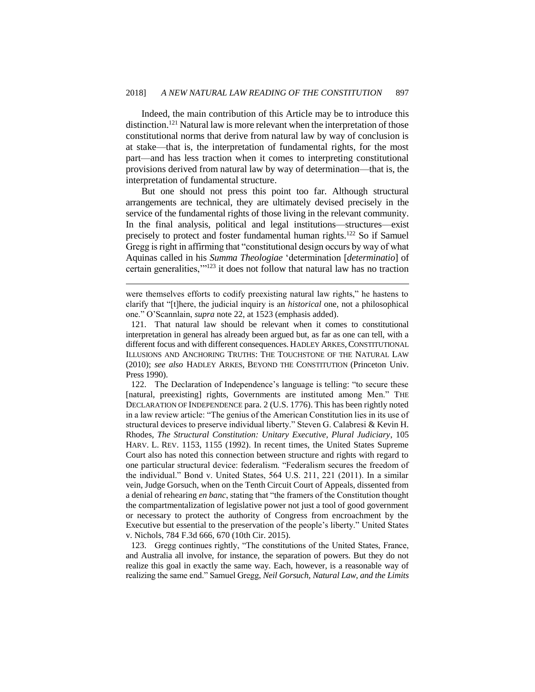Indeed, the main contribution of this Article may be to introduce this distinction.<sup>121</sup> Natural law is more relevant when the interpretation of those constitutional norms that derive from natural law by way of conclusion is at stake—that is, the interpretation of fundamental rights, for the most part—and has less traction when it comes to interpreting constitutional provisions derived from natural law by way of determination—that is, the interpretation of fundamental structure.

But one should not press this point too far. Although structural arrangements are technical, they are ultimately devised precisely in the service of the fundamental rights of those living in the relevant community. In the final analysis, political and legal institutions—structures—exist precisely to protect and foster fundamental human rights.<sup>122</sup> So if Samuel Gregg is right in affirming that "constitutional design occurs by way of what Aquinas called in his *Summa Theologiae* 'determination [*determinatio*] of certain generalities,'"<sup>123</sup> it does not follow that natural law has no traction

 $\overline{a}$ 

122. The Declaration of Independence's language is telling: "to secure these [natural, preexisting] rights, Governments are instituted among Men." THE DECLARATION OF INDEPENDENCE para. 2 (U.S. 1776). This has been rightly noted in a law review article: "The genius of the American Constitution lies in its use of structural devices to preserve individual liberty." Steven G. Calabresi & Kevin H. Rhodes, *The Structural Constitution: Unitary Executive, Plural Judiciary*, 105 HARV. L. REV. 1153, 1155 (1992). In recent times, the United States Supreme Court also has noted this connection between structure and rights with regard to one particular structural device: federalism. "Federalism secures the freedom of the individual." Bond v. United States, 564 U.S. 211, 221 (2011). In a similar vein, Judge Gorsuch, when on the Tenth Circuit Court of Appeals, dissented from a denial of rehearing *en banc*, stating that "the framers of the Constitution thought the compartmentalization of legislative power not just a tool of good government or necessary to protect the authority of Congress from encroachment by the Executive but essential to the preservation of the people's liberty." United States v. Nichols, 784 F.3d 666, 670 (10th Cir. 2015).

123. Gregg continues rightly, "The constitutions of the United States, France, and Australia all involve, for instance, the separation of powers. But they do not realize this goal in exactly the same way. Each, however, is a reasonable way of realizing the same end." Samuel Gregg, *Neil Gorsuch, Natural Law, and the Limits* 

were themselves efforts to codify preexisting natural law rights," he hastens to clarify that "[t]here, the judicial inquiry is an *historical* one, not a philosophical one." O'Scannlain, *supra* note 22, at 1523 (emphasis added).

<sup>121.</sup> That natural law should be relevant when it comes to constitutional interpretation in general has already been argued but, as far as one can tell, with a different focus and with different consequences. HADLEY ARKES, CONSTITUTIONAL ILLUSIONS AND ANCHORING TRUTHS: THE TOUCHSTONE OF THE NATURAL LAW (2010); *see also* HADLEY ARKES, BEYOND THE CONSTITUTION (Princeton Univ. Press 1990).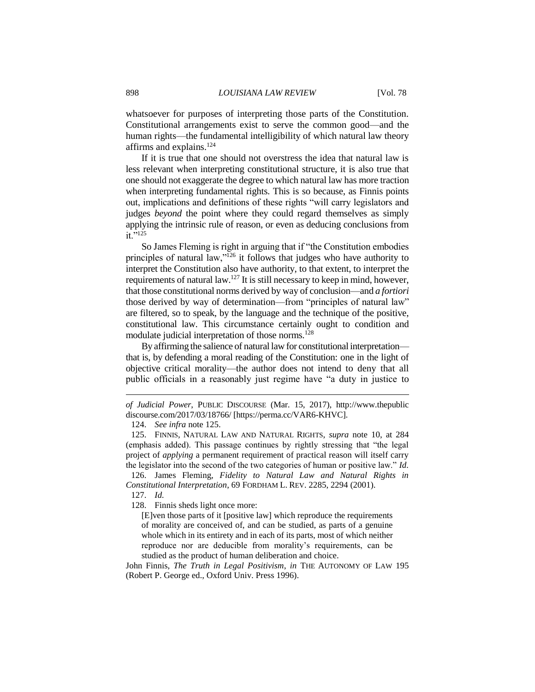whatsoever for purposes of interpreting those parts of the Constitution. Constitutional arrangements exist to serve the common good—and the human rights—the fundamental intelligibility of which natural law theory affirms and explains.<sup>124</sup>

If it is true that one should not overstress the idea that natural law is less relevant when interpreting constitutional structure, it is also true that one should not exaggerate the degree to which natural law has more traction when interpreting fundamental rights. This is so because, as Finnis points out, implications and definitions of these rights "will carry legislators and judges *beyond* the point where they could regard themselves as simply applying the intrinsic rule of reason, or even as deducing conclusions from  $i\tilde{t}$ .  $\frac{1}{25}$ 

So James Fleming is right in arguing that if "the Constitution embodies principles of natural law,"<sup>126</sup> it follows that judges who have authority to interpret the Constitution also have authority, to that extent, to interpret the requirements of natural law.<sup>127</sup> It is still necessary to keep in mind, however, that those constitutional norms derived by way of conclusion—and *a fortiori* those derived by way of determination—from "principles of natural law" are filtered, so to speak, by the language and the technique of the positive, constitutional law. This circumstance certainly ought to condition and modulate judicial interpretation of those norms.<sup>128</sup>

By affirming the salience of natural law for constitutional interpretation that is, by defending a moral reading of the Constitution: one in the light of objective critical morality—the author does not intend to deny that all public officials in a reasonably just regime have "a duty in justice to

126. James Fleming, *Fidelity to Natural Law and Natural Rights in Constitutional Interpretation*, 69 FORDHAM L. REV. 2285, 2294 (2001).

127. *Id.*

 $\overline{a}$ 

128. Finnis sheds light once more:

John Finnis, *The Truth in Legal Positivism*, *in* THE AUTONOMY OF LAW 195 (Robert P. George ed., Oxford Univ. Press 1996).

*of Judicial Power*, PUBLIC DISCOURSE (Mar. 15, 2017), http://www.thepublic discourse.com/2017/03/18766/ [https://perma.cc/VAR6-KHVC].

<sup>124.</sup> *See infra* note 125.

<sup>125.</sup> FINNIS, NATURAL LAW AND NATURAL RIGHTS, *supra* note 10, at 284 (emphasis added). This passage continues by rightly stressing that "the legal project of *applying* a permanent requirement of practical reason will itself carry the legislator into the second of the two categories of human or positive law." *Id.*

<sup>[</sup>E]ven those parts of it [positive law] which reproduce the requirements of morality are conceived of, and can be studied, as parts of a genuine whole which in its entirety and in each of its parts, most of which neither reproduce nor are deducible from morality's requirements, can be studied as the product of human deliberation and choice.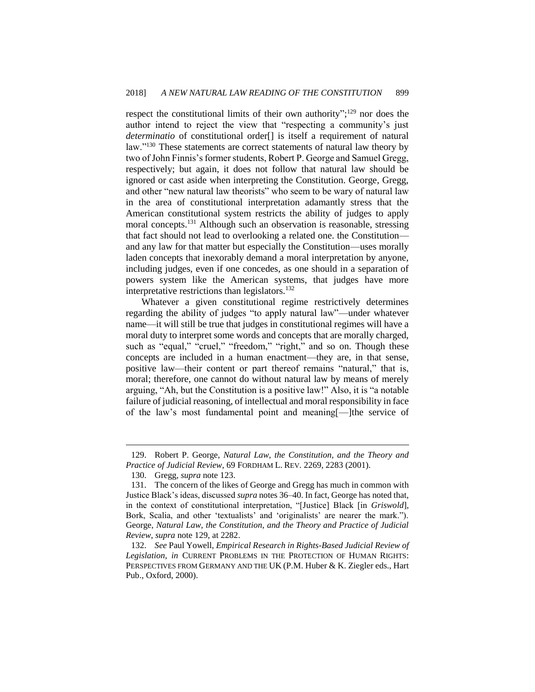respect the constitutional limits of their own authority";<sup>129</sup> nor does the author intend to reject the view that "respecting a community's just *determinatio* of constitutional order[] is itself a requirement of natural law."<sup>130</sup> These statements are correct statements of natural law theory by two of John Finnis's former students, Robert P. George and Samuel Gregg, respectively; but again, it does not follow that natural law should be ignored or cast aside when interpreting the Constitution. George, Gregg, and other "new natural law theorists" who seem to be wary of natural law in the area of constitutional interpretation adamantly stress that the American constitutional system restricts the ability of judges to apply moral concepts.<sup>131</sup> Although such an observation is reasonable, stressing that fact should not lead to overlooking a related one. the Constitution and any law for that matter but especially the Constitution—uses morally laden concepts that inexorably demand a moral interpretation by anyone, including judges, even if one concedes, as one should in a separation of powers system like the American systems, that judges have more interpretative restrictions than legislators.<sup>132</sup>

Whatever a given constitutional regime restrictively determines regarding the ability of judges "to apply natural law"—under whatever name—it will still be true that judges in constitutional regimes will have a moral duty to interpret some words and concepts that are morally charged, such as "equal," "cruel," "freedom," "right," and so on. Though these concepts are included in a human enactment—they are, in that sense, positive law—their content or part thereof remains "natural," that is, moral; therefore, one cannot do without natural law by means of merely arguing, "Ah, but the Constitution is a positive law!" Also, it is "a notable failure of judicial reasoning, of intellectual and moral responsibility in face of the law's most fundamental point and meaning[—]the service of

<sup>129.</sup> Robert P. George, *Natural Law, the Constitution, and the Theory and Practice of Judicial Review*, 69 FORDHAM L. REV. 2269, 2283 (2001).

<sup>130.</sup> Gregg, *supra* note 123.

<sup>131.</sup> The concern of the likes of George and Gregg has much in common with Justice Black's ideas, discussed *supra* notes 36–40. In fact, George has noted that, in the context of constitutional interpretation, "[Justice] Black [in *Griswold*], Bork, Scalia, and other 'textualists' and 'originalists' are nearer the mark."). George, *Natural Law, the Constitution, and the Theory and Practice of Judicial Review*, *supra* note 129, at 2282.

<sup>132.</sup> *See* Paul Yowell, *Empirical Research in Rights-Based Judicial Review of Legislation*, *in* CURRENT PROBLEMS IN THE PROTECTION OF HUMAN RIGHTS: PERSPECTIVES FROM GERMANY AND THE UK (P.M. Huber & K. Ziegler eds., Hart Pub., Oxford, 2000).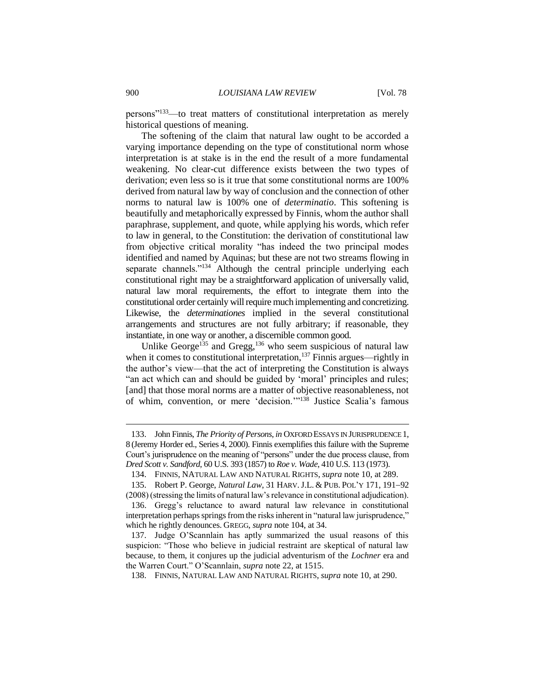persons"<sup>133</sup>—to treat matters of constitutional interpretation as merely historical questions of meaning.

The softening of the claim that natural law ought to be accorded a varying importance depending on the type of constitutional norm whose interpretation is at stake is in the end the result of a more fundamental weakening. No clear-cut difference exists between the two types of derivation; even less so is it true that some constitutional norms are 100% derived from natural law by way of conclusion and the connection of other norms to natural law is 100% one of *determinatio*. This softening is beautifully and metaphorically expressed by Finnis, whom the author shall paraphrase, supplement, and quote, while applying his words, which refer to law in general, to the Constitution: the derivation of constitutional law from objective critical morality "has indeed the two principal modes identified and named by Aquinas; but these are not two streams flowing in separate channels."<sup>134</sup> Although the central principle underlying each constitutional right may be a straightforward application of universally valid, natural law moral requirements, the effort to integrate them into the constitutional order certainly will require much implementing and concretizing. Likewise, the *determinationes* implied in the several constitutional arrangements and structures are not fully arbitrary; if reasonable, they instantiate, in one way or another, a discernible common good.

Unlike George<sup>135</sup> and Gregg,<sup>136</sup> who seem suspicious of natural law when it comes to constitutional interpretation,  $^{137}$  Finnis argues—rightly in the author's view—that the act of interpreting the Constitution is always "an act which can and should be guided by 'moral' principles and rules; [and] that those moral norms are a matter of objective reasonableness, not of whim, convention, or mere 'decision.'"<sup>138</sup> Justice Scalia's famous

<sup>133.</sup> John Finnis, *The Priority of Persons*, *in* OXFORD ESSAYS IN JURISPRUDENCE 1, 8 (Jeremy Horder ed., Series 4, 2000). Finnis exemplifies this failure with the Supreme Court's jurisprudence on the meaning of "persons" under the due process clause, from *Dred Scott v. Sandford*, 60 U.S. 393 (1857) to *Roe v. Wade*, 410 U.S. 113 (1973).

<sup>134.</sup> FINNIS, NATURAL LAW AND NATURAL RIGHTS, *supra* note 10, at 289.

<sup>135.</sup> Robert P. George, *Natural Law*, 31 HARV. J.L. & PUB. POL'Y 171, 191-92

<sup>(2008) (</sup>stressing the limits of natural law's relevance in constitutional adjudication). 136. Gregg's reluctance to award natural law relevance in constitutional interpretation perhaps springs from the risks inherent in "natural law jurisprudence," which he rightly denounces. GREGG, *supra* note 104, at 34.

<sup>137.</sup> Judge O'Scannlain has aptly summarized the usual reasons of this suspicion: "Those who believe in judicial restraint are skeptical of natural law because, to them, it conjures up the judicial adventurism of the *Lochner* era and the Warren Court." O'Scannlain, *supra* note 22, at 1515.

<sup>138.</sup> FINNIS, NATURAL LAW AND NATURAL RIGHTS, *supra* note 10, at 290.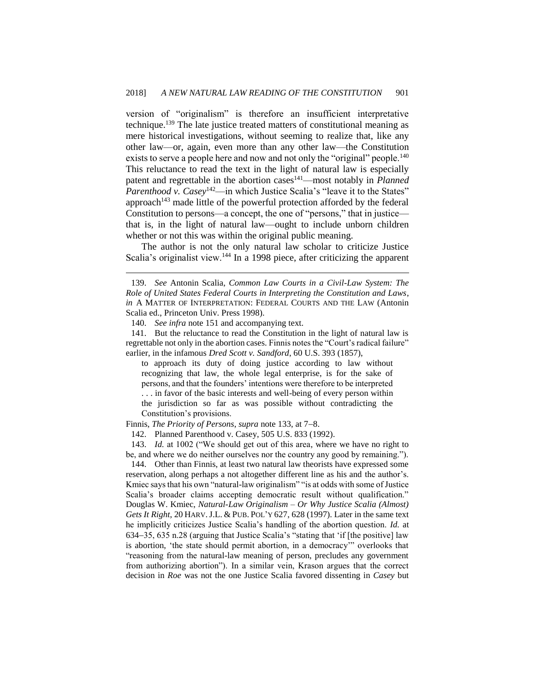version of "originalism" is therefore an insufficient interpretative technique.<sup>139</sup> The late justice treated matters of constitutional meaning as mere historical investigations, without seeming to realize that, like any other law—or, again, even more than any other law—the Constitution exists to serve a people here and now and not only the "original" people.<sup>140</sup> This reluctance to read the text in the light of natural law is especially patent and regrettable in the abortion cases<sup>141</sup>—most notably in *Planned Parenthood v. Casey*<sup>142</sup>—in which Justice Scalia's "leave it to the States" approach<sup>143</sup> made little of the powerful protection afforded by the federal Constitution to persons—a concept, the one of "persons," that in justice that is, in the light of natural law—ought to include unborn children whether or not this was within the original public meaning.

The author is not the only natural law scholar to criticize Justice Scalia's originalist view.<sup>144</sup> In a 1998 piece, after criticizing the apparent

 $\overline{a}$ 

141. But the reluctance to read the Constitution in the light of natural law is regrettable not only in the abortion cases. Finnis notes the "Court's radical failure" earlier, in the infamous *Dred Scott v. Sandford*, 60 U.S. 393 (1857),

to approach its duty of doing justice according to law without recognizing that law, the whole legal enterprise, is for the sake of persons, and that the founders' intentions were therefore to be interpreted . . . in favor of the basic interests and well-being of every person within the jurisdiction so far as was possible without contradicting the Constitution's provisions.

Finnis, *The Priority of Persons*, *supra* note 133, at 7–8.

142. Planned Parenthood v. Casey, 505 U.S. 833 (1992).

143. *Id.* at 1002 ("We should get out of this area, where we have no right to be, and where we do neither ourselves nor the country any good by remaining.").

144. Other than Finnis, at least two natural law theorists have expressed some reservation, along perhaps a not altogether different line as his and the author's. Kmiec says that his own "natural-law originalism" "is at odds with some of Justice Scalia's broader claims accepting democratic result without qualification." Douglas W. Kmiec, *Natural-Law Originalism – Or Why Justice Scalia (Almost) Gets It Right*, 20 HARV.J.L. & PUB. POL'Y 627, 628 (1997). Later in the same text he implicitly criticizes Justice Scalia's handling of the abortion question. *Id.* at  $634-35$ ,  $635$  n.28 (arguing that Justice Scalia's "stating that 'if [the positive] law is abortion, 'the state should permit abortion, in a democracy'" overlooks that "reasoning from the natural-law meaning of person, precludes any government from authorizing abortion"). In a similar vein, Krason argues that the correct decision in *Roe* was not the one Justice Scalia favored dissenting in *Casey* but

<sup>139.</sup> *See* Antonin Scalia, *Common Law Courts in a Civil-Law System: The Role of United States Federal Courts in Interpreting the Constitution and Laws*, *in* A MATTER OF INTERPRETATION: FEDERAL COURTS AND THE LAW (Antonin Scalia ed., Princeton Univ. Press 1998).

<sup>140.</sup> *See infra* note 151 and accompanying text.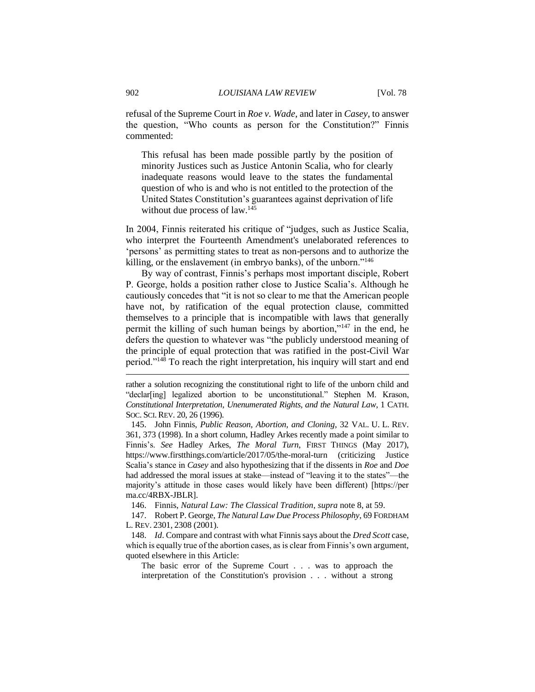refusal of the Supreme Court in *Roe v. Wade*, and later in *Casey*, to answer the question, "Who counts as person for the Constitution?" Finnis commented:

This refusal has been made possible partly by the position of minority Justices such as Justice Antonin Scalia, who for clearly inadequate reasons would leave to the states the fundamental question of who is and who is not entitled to the protection of the United States Constitution's guarantees against deprivation of life without due process of law.<sup>145</sup>

In 2004, Finnis reiterated his critique of "judges, such as Justice Scalia, who interpret the Fourteenth Amendment's unelaborated references to 'persons' as permitting states to treat as non-persons and to authorize the killing, or the enslavement (in embryo banks), of the unborn."<sup>146</sup>

By way of contrast, Finnis's perhaps most important disciple, Robert P. George, holds a position rather close to Justice Scalia's. Although he cautiously concedes that "it is not so clear to me that the American people have not, by ratification of the equal protection clause, committed themselves to a principle that is incompatible with laws that generally permit the killing of such human beings by abortion,"<sup>147</sup> in the end, he defers the question to whatever was "the publicly understood meaning of the principle of equal protection that was ratified in the post-Civil War period."<sup>148</sup> To reach the right interpretation, his inquiry will start and end

145. John Finnis, *Public Reason, Abortion, and Cloning*, 32 VAL. U. L. REV. 361, 373 (1998). In a short column, Hadley Arkes recently made a point similar to Finnis's. *See* Hadley Arkes, *The Moral Turn*, FIRST THINGS (May 2017), https://www.firstthings.com/article/2017/05/the-moral-turn (criticizing Justice Scalia's stance in *Casey* and also hypothesizing that if the dissents in *Roe* and *Doe* had addressed the moral issues at stake—instead of "leaving it to the states"—the majority's attitude in those cases would likely have been different) [https://per ma.cc/4RBX-JBLR].

146. Finnis, *Natural Law: The Classical Tradition*, *supra* note 8, at 59.

147. Robert P. George, *The Natural Law Due Process Philosophy*, 69 FORDHAM L. REV. 2301, 2308 (2001).

148. *Id*. Compare and contrast with what Finnis says about the *Dred Scott* case, which is equally true of the abortion cases, as is clear from Finnis's own argument, quoted elsewhere in this Article:

The basic error of the Supreme Court . . . was to approach the interpretation of the Constitution's provision . . . without a strong

rather a solution recognizing the constitutional right to life of the unborn child and "declar[ing] legalized abortion to be unconstitutional." Stephen M. Krason, *Constitutional Interpretation, Unenumerated Rights, and the Natural Law*, 1 CATH. SOC. SCI. REV. 20, 26 (1996).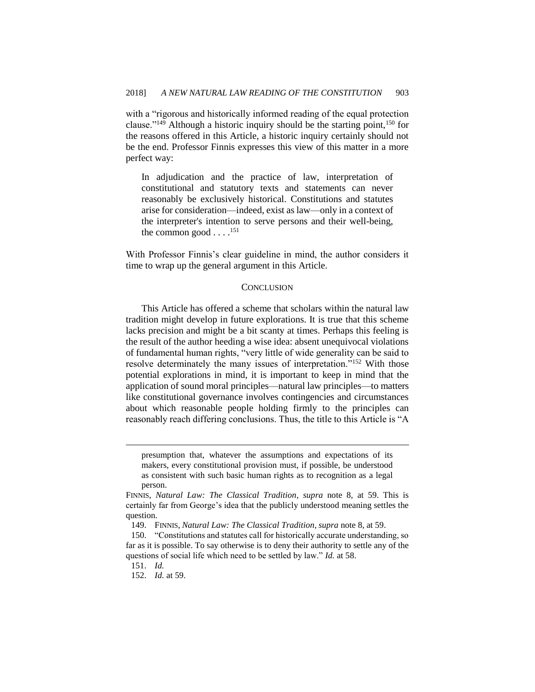with a "rigorous and historically informed reading of the equal protection clause."<sup>149</sup> Although a historic inquiry should be the starting point,<sup>150</sup> for the reasons offered in this Article, a historic inquiry certainly should not be the end. Professor Finnis expresses this view of this matter in a more perfect way:

In adjudication and the practice of law, interpretation of constitutional and statutory texts and statements can never reasonably be exclusively historical. Constitutions and statutes arise for consideration—indeed, exist as law—only in a context of the interpreter's intention to serve persons and their well-being, the common good  $\ldots$ .<sup>151</sup>

With Professor Finnis's clear guideline in mind, the author considers it time to wrap up the general argument in this Article.

#### **CONCLUSION**

This Article has offered a scheme that scholars within the natural law tradition might develop in future explorations. It is true that this scheme lacks precision and might be a bit scanty at times. Perhaps this feeling is the result of the author heeding a wise idea: absent unequivocal violations of fundamental human rights, "very little of wide generality can be said to resolve determinately the many issues of interpretation."<sup>152</sup> With those potential explorations in mind, it is important to keep in mind that the application of sound moral principles—natural law principles—to matters like constitutional governance involves contingencies and circumstances about which reasonable people holding firmly to the principles can reasonably reach differing conclusions. Thus, the title to this Article is "A

presumption that, whatever the assumptions and expectations of its makers, every constitutional provision must, if possible, be understood as consistent with such basic human rights as to recognition as a legal person.

FINNIS, *Natural Law: The Classical Tradition*, *supra* note 8, at 59. This is certainly far from George's idea that the publicly understood meaning settles the question.

<sup>149.</sup> FINNIS, *Natural Law: The Classical Tradition*, *supra* note 8, at 59.

<sup>150.</sup> "Constitutions and statutes call for historically accurate understanding, so far as it is possible. To say otherwise is to deny their authority to settle any of the questions of social life which need to be settled by law." *Id.* at 58.

<sup>151.</sup> *Id.*

<sup>152.</sup> *Id.* at 59.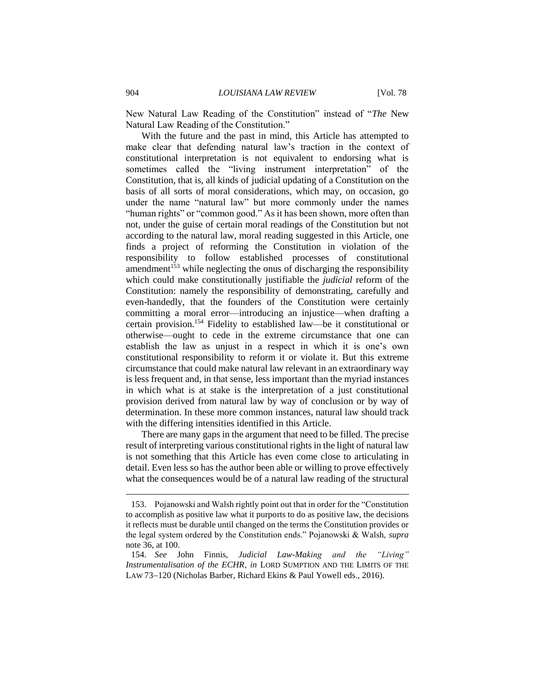New Natural Law Reading of the Constitution" instead of "*The* New Natural Law Reading of the Constitution."

With the future and the past in mind, this Article has attempted to make clear that defending natural law's traction in the context of constitutional interpretation is not equivalent to endorsing what is sometimes called the "living instrument interpretation" of the Constitution, that is, all kinds of judicial updating of a Constitution on the basis of all sorts of moral considerations, which may, on occasion, go under the name "natural law" but more commonly under the names "human rights" or "common good." As it has been shown, more often than not, under the guise of certain moral readings of the Constitution but not according to the natural law, moral reading suggested in this Article, one finds a project of reforming the Constitution in violation of the responsibility to follow established processes of constitutional amendment<sup>153</sup> while neglecting the onus of discharging the responsibility which could make constitutionally justifiable the *judicial* reform of the Constitution: namely the responsibility of demonstrating, carefully and even-handedly, that the founders of the Constitution were certainly committing a moral error—introducing an injustice—when drafting a certain provision.<sup>154</sup> Fidelity to established law—be it constitutional or otherwise—ought to cede in the extreme circumstance that one can establish the law as unjust in a respect in which it is one's own constitutional responsibility to reform it or violate it. But this extreme circumstance that could make natural law relevant in an extraordinary way is less frequent and, in that sense, less important than the myriad instances in which what is at stake is the interpretation of a just constitutional provision derived from natural law by way of conclusion or by way of determination. In these more common instances, natural law should track with the differing intensities identified in this Article.

There are many gaps in the argument that need to be filled. The precise result of interpreting various constitutional rights in the light of natural law is not something that this Article has even come close to articulating in detail. Even less so has the author been able or willing to prove effectively what the consequences would be of a natural law reading of the structural

<sup>153.</sup> Pojanowski and Walsh rightly point out that in order for the "Constitution to accomplish as positive law what it purports to do as positive law, the decisions it reflects must be durable until changed on the terms the Constitution provides or the legal system ordered by the Constitution ends." Pojanowski & Walsh, *supra*  note 36, at 100.

<sup>154.</sup> *See* John Finnis, *Judicial Law-Making and the "Living" Instrumentalisation of the ECHR*, *in* LORD SUMPTION AND THE LIMITS OF THE LAW 73-120 (Nicholas Barber, Richard Ekins & Paul Yowell eds., 2016).